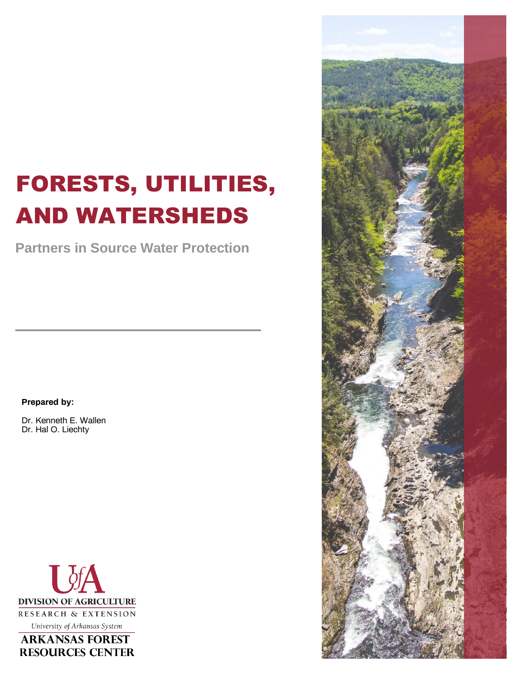# FORESTS, UTILITIES, AND WATERSHEDS

**Partners in Source Water Protection**

#### **Prepared by:**

Dr. Kenneth E. Wallen Dr. Hal O. Liechty



**ARKANSAS FOREST RESOURCES CENTER** 

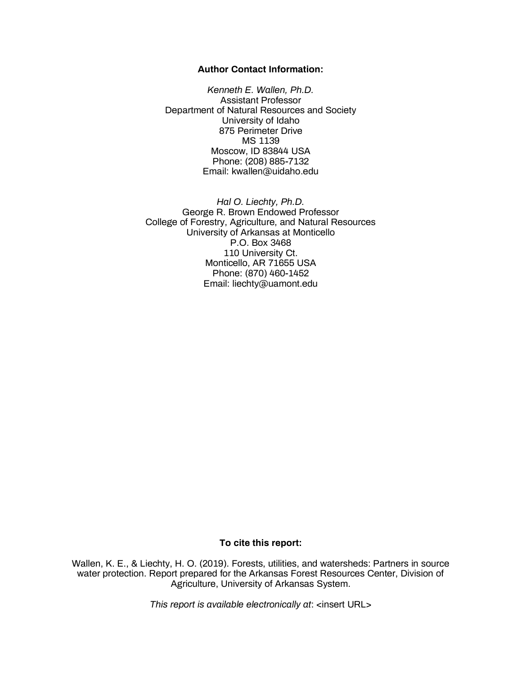#### **Author Contact Information:**

*Kenneth E. Wallen, Ph.D.* Assistant Professor Department of Natural Resources and Society University of Idaho 875 Perimeter Drive MS 1139 Moscow, ID 83844 USA Phone: (208) 885-7132 Email: kwallen@uidaho.edu

*Hal O. Liechty, Ph.D.* George R. Brown Endowed Professor College of Forestry, Agriculture, and Natural Resources University of Arkansas at Monticello P.O. Box 3468 110 University Ct. Monticello, AR 71655 USA Phone: (870) 460-1452 Email: liechty@uamont.edu

#### **To cite this report:**

Wallen, K. E., & Liechty, H. O. (2019). Forests, utilities, and watersheds: Partners in source water protection. Report prepared for the Arkansas Forest Resources Center, Division of Agriculture, University of Arkansas System.

*This report is available electronically at*: <insert URL>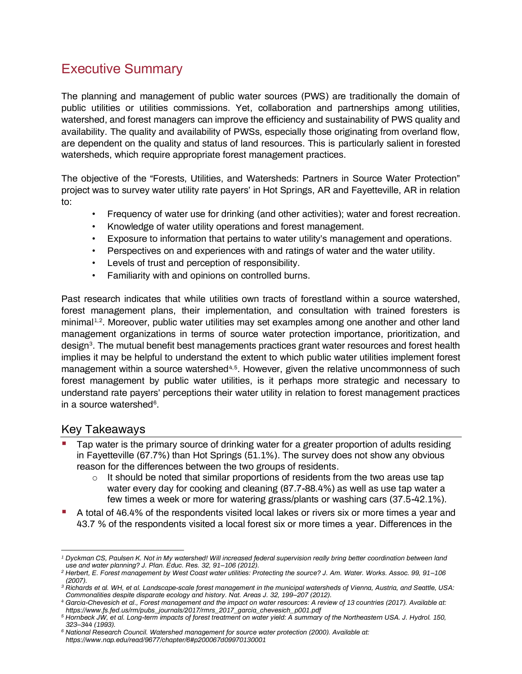# <span id="page-2-0"></span>Executive Summary

The planning and management of public water sources (PWS) are traditionally the domain of public utilities or utilities commissions. Yet, collaboration and partnerships among utilities, watershed, and forest managers can improve the efficiency and sustainability of PWS quality and availability. The quality and availability of PWSs, especially those originating from overland flow, are dependent on the quality and status of land resources. This is particularly salient in forested watersheds, which require appropriate forest management practices.

The objective of the "Forests, Utilities, and Watersheds: Partners in Source Water Protection" project was to survey water utility rate payers' in Hot Springs, AR and Fayetteville, AR in relation to:

- Frequency of water use for drinking (and other activities); water and forest recreation.
- Knowledge of water utility operations and forest management.
- Exposure to information that pertains to water utility's management and operations.
- Perspectives on and experiences with and ratings of water and the water utility.
- Levels of trust and perception of responsibility.
- Familiarity with and opinions on controlled burns.

Past research indicates that while utilities own tracts of forestland within a source watershed, forest management plans, their implementation, and consultation with trained foresters is minimal<sup>1,2</sup>. Moreover, public water utilities may set examples among one another and other land management organizations in terms of source water protection importance, prioritization, and design<sup>3</sup>. The mutual benefit best managements practices grant water resources and forest health implies it may be helpful to understand the extent to which public water utilities implement forest management within a source watershed<sup>4,5</sup>. However, given the relative uncommonness of such forest management by public water utilities, is it perhaps more strategic and necessary to understand rate payers' perceptions their water utility in relation to forest management practices in a source watershed<sup>6</sup>.

# <span id="page-2-1"></span>Key Takeaways

- Tap water is the primary source of drinking water for a greater proportion of adults residing in Fayetteville (67.7%) than Hot Springs (51.1%). The survey does not show any obvious reason for the differences between the two groups of residents.
	- $\circ$  It should be noted that similar proportions of residents from the two areas use tap water every day for cooking and cleaning (87.7-88.4%) as well as use tap water a few times a week or more for watering grass/plants or washing cars (37.5-42.1%).
- A total of 46.4% of the respondents visited local lakes or rivers six or more times a year and 43.7 % of the respondents visited a local forest six or more times a year. Differences in the

*<sup>1</sup> Dyckman CS, Paulsen K. Not in My watershed! Will increased federal supervision really bring better coordination between land use and water planning? J. Plan. Educ. Res. 32, 91–106 (2012).*

*<sup>2</sup> Herbert, E. Forest management by West Coast water utilities: Protecting the source? J. Am. Water. Works. Assoc. 99, 91–106 (2007).*

*<sup>3</sup> Richards et al. WH, et al. Landscape-scale forest management in the municipal watersheds of Vienna, Austria, and Seattle, USA: Commonalities despite disparate ecology and history. Nat. Areas J. 32, 199–207 (2012).*

*<sup>4</sup> Garcia-Chevesich et al., Forest management and the impact on water resources: A review of 13 countries (2017). Available at: https://www.fs.fed.us/rm/pubs\_journals/2017/rmrs\_2017\_garcia\_chevesich\_p001.pdf*

*<sup>5</sup> Hornbeck JW, et al. Long-term impacts of forest treatment on water yield: A summary of the Northeastern USA. J. Hydrol. 150, 323–344 (1993).*

*<sup>6</sup> National Research Council. Watershed management for source water protection (2000). Available at: https://www.nap.edu/read/9677/chapter/6#p200067d09970130001*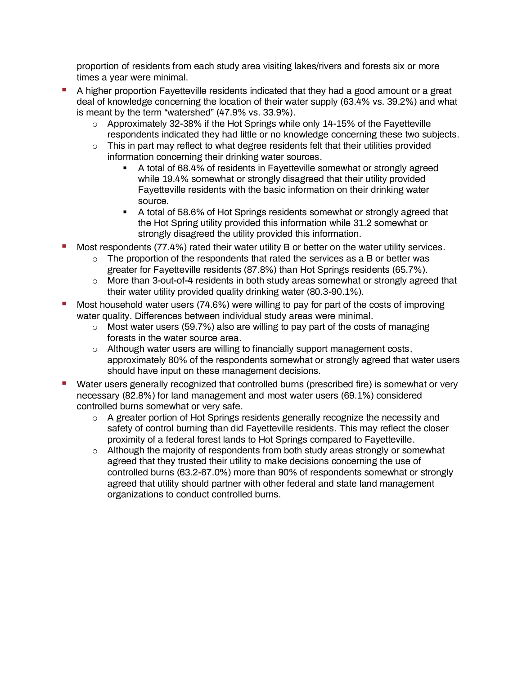proportion of residents from each study area visiting lakes/rivers and forests six or more times a year were minimal.

- A higher proportion Fayetteville residents indicated that they had a good amount or a great deal of knowledge concerning the location of their water supply (63.4% vs. 39.2%) and what is meant by the term "watershed" (47.9% vs. 33.9%).
	- $\circ$  Approximately 32-38% if the Hot Springs while only 14-15% of the Fayetteville respondents indicated they had little or no knowledge concerning these two subjects.
	- $\circ$  This in part may reflect to what degree residents felt that their utilities provided information concerning their drinking water sources.
		- A total of 68.4% of residents in Fayetteville somewhat or strongly agreed while 19.4% somewhat or strongly disagreed that their utility provided Fayetteville residents with the basic information on their drinking water source.
		- **•** A total of 58.6% of Hot Springs residents somewhat or strongly agreed that the Hot Spring utility provided this information while 31.2 somewhat or strongly disagreed the utility provided this information.
- Most respondents (77.4%) rated their water utility B or better on the water utility services.
	- $\circ$  The proportion of the respondents that rated the services as a B or better was greater for Fayetteville residents (87.8%) than Hot Springs residents (65.7%).
	- o More than 3-out-of-4 residents in both study areas somewhat or strongly agreed that their water utility provided quality drinking water (80.3-90.1%).
- Most household water users (74.6%) were willing to pay for part of the costs of improving water quality. Differences between individual study areas were minimal.
	- o Most water users (59.7%) also are willing to pay part of the costs of managing forests in the water source area.
	- $\circ$  Although water users are willing to financially support management costs, approximately 80% of the respondents somewhat or strongly agreed that water users should have input on these management decisions.
- Water users generally recognized that controlled burns (prescribed fire) is somewhat or very necessary (82.8%) for land management and most water users (69.1%) considered controlled burns somewhat or very safe.
	- $\circ$  A greater portion of Hot Springs residents generally recognize the necessity and safety of control burning than did Fayetteville residents. This may reflect the closer proximity of a federal forest lands to Hot Springs compared to Fayetteville.
	- o Although the majority of respondents from both study areas strongly or somewhat agreed that they trusted their utility to make decisions concerning the use of controlled burns (63.2-67.0%) more than 90% of respondents somewhat or strongly agreed that utility should partner with other federal and state land management organizations to conduct controlled burns.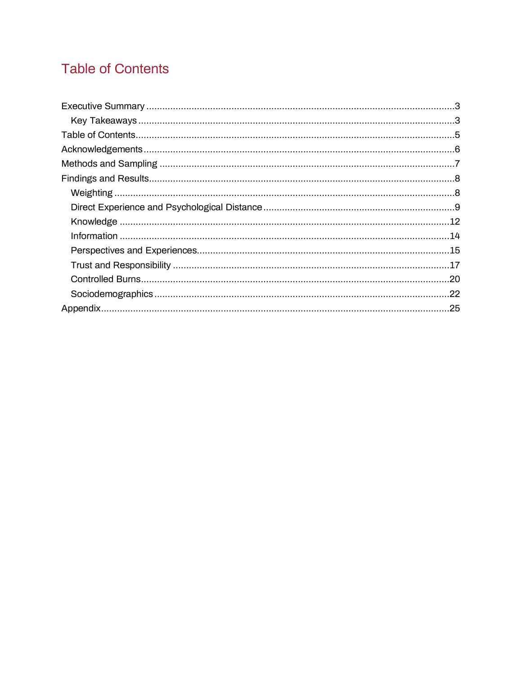# <span id="page-4-0"></span>**Table of Contents**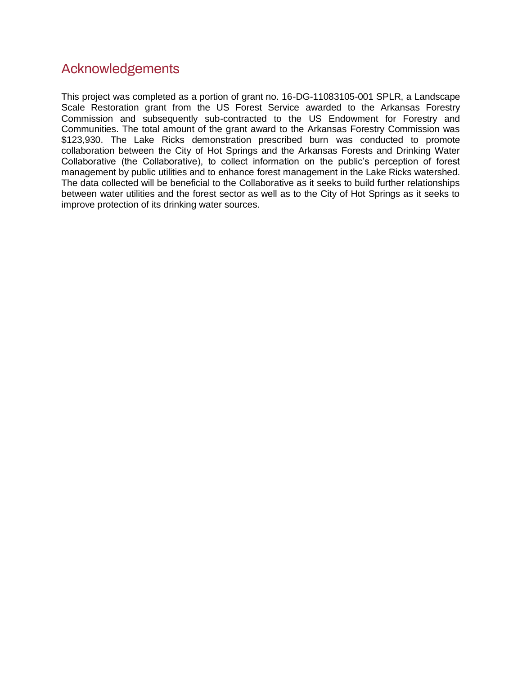# <span id="page-5-0"></span>Acknowledgements

This project was completed as a portion of grant no. 16-DG-11083105-001 SPLR, a Landscape Scale Restoration grant from the US Forest Service awarded to the Arkansas Forestry Commission and subsequently sub-contracted to the US Endowment for Forestry and Communities. The total amount of the grant award to the Arkansas Forestry Commission was \$123,930. The Lake Ricks demonstration prescribed burn was conducted to promote collaboration between the City of Hot Springs and the Arkansas Forests and Drinking Water Collaborative (the Collaborative), to collect information on the public's perception of forest management by public utilities and to enhance forest management in the Lake Ricks watershed. The data collected will be beneficial to the Collaborative as it seeks to build further relationships between water utilities and the forest sector as well as to the City of Hot Springs as it seeks to improve protection of its drinking water sources.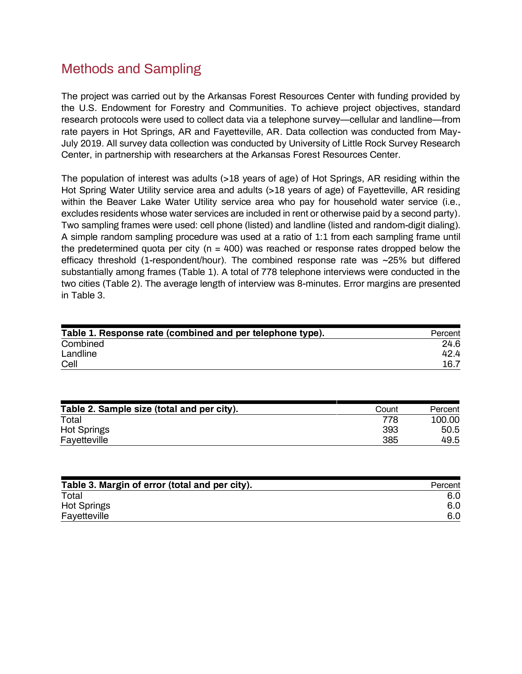# <span id="page-6-0"></span>Methods and Sampling

The project was carried out by the Arkansas Forest Resources Center with funding provided by the U.S. Endowment for Forestry and Communities. To achieve project objectives, standard research protocols were used to collect data via a telephone survey—cellular and landline—from rate payers in Hot Springs, AR and Fayetteville, AR. Data collection was conducted from May-July 2019. All survey data collection was conducted by University of Little Rock Survey Research Center, in partnership with researchers at the Arkansas Forest Resources Center.

The population of interest was adults (>18 years of age) of Hot Springs, AR residing within the Hot Spring Water Utility service area and adults (>18 years of age) of Fayetteville, AR residing within the Beaver Lake Water Utility service area who pay for household water service (i.e., excludes residents whose water services are included in rent or otherwise paid by a second party). Two sampling frames were used: cell phone (listed) and landline (listed and random-digit dialing). A simple random sampling procedure was used at a ratio of 1:1 from each sampling frame until the predetermined quota per city ( $n = 400$ ) was reached or response rates dropped below the efficacy threshold (1-respondent/hour). The combined response rate was ~25% but differed substantially among frames (Table 1). A total of 778 telephone interviews were conducted in the two cities (Table 2). The average length of interview was 8-minutes. Error margins are presented in Table 3.

| Table 1. Response rate (combined and per telephone type). | Percent |
|-----------------------------------------------------------|---------|
| Combined                                                  | 24.6    |
| Landline                                                  | 42.4    |
| Cell                                                      | 16.7    |

| Table 2. Sample size (total and per city). | Count | Percent |
|--------------------------------------------|-------|---------|
| Total                                      | 778   | 100.00  |
| <b>Hot Springs</b>                         | 393   | 50.5    |
| Fayetteville                               | 385   | 49.5    |

| Table 3. Margin of error (total and per city). | Percent |
|------------------------------------------------|---------|
| Total                                          | 6.0     |
| <b>Hot Springs</b>                             | 6.0     |
| Fayetteville                                   | 6.0     |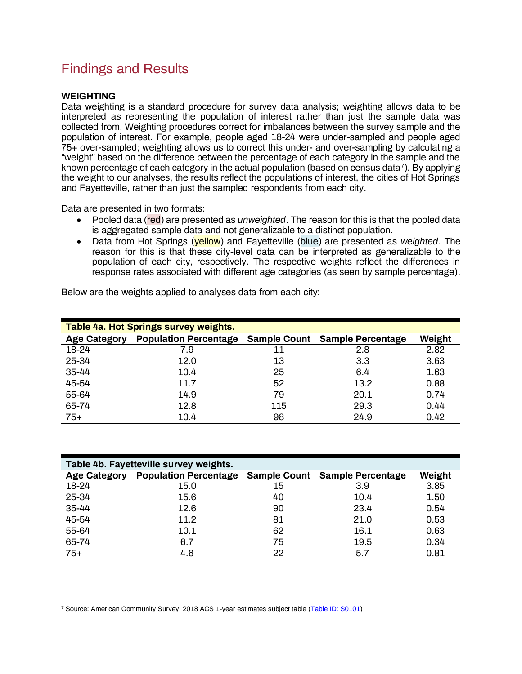# <span id="page-7-0"></span>Findings and Results

### <span id="page-7-1"></span>**WEIGHTING**

Data weighting is a standard procedure for survey data analysis; weighting allows data to be interpreted as representing the population of interest rather than just the sample data was collected from. Weighting procedures correct for imbalances between the survey sample and the population of interest. For example, people aged 18-24 were under-sampled and people aged 75+ over-sampled; weighting allows us to correct this under- and over-sampling by calculating a "weight" based on the difference between the percentage of each category in the sample and the known percentage of each category in the actual population (based on census data<sup>7</sup>). By applying the weight to our analyses, the results reflect the populations of interest, the cities of Hot Springs and Fayetteville, rather than just the sampled respondents from each city.

Data are presented in two formats:

- Pooled data (red) are presented as *unweighted*. The reason for this is that the pooled data is aggregated sample data and not generalizable to a distinct population.
- Data from Hot Springs (yellow) and Fayetteville (blue) are presented as *weighted*. The reason for this is that these city-level data can be interpreted as generalizable to the population of each city, respectively. The respective weights reflect the differences in response rates associated with different age categories (as seen by sample percentage).

| Table 4a. Hot Springs survey weights. |                                           |     |                          |        |  |
|---------------------------------------|-------------------------------------------|-----|--------------------------|--------|--|
| <b>Age Category</b>                   | <b>Population Percentage Sample Count</b> |     | <b>Sample Percentage</b> | Weight |  |
| 18-24                                 | 7.9                                       | 11  | 2.8                      | 2.82   |  |
| 25-34                                 | 12.0                                      | 13  | 3.3                      | 3.63   |  |
| 35-44                                 | 10.4                                      | 25  | 6.4                      | 1.63   |  |
| 45-54                                 | 11.7                                      | 52  | 13.2                     | 0.88   |  |
| 55-64                                 | 14.9                                      | 79  | 20.1                     | 0.74   |  |
| 65-74                                 | 12.8                                      | 115 | 29.3                     | 0.44   |  |
| $75+$                                 | 10.4                                      | 98  | 24.9                     | 0.42   |  |

Below are the weights applied to analyses data from each city:

| Table 4b. Fayetteville survey weights. |                                           |    |                          |        |  |
|----------------------------------------|-------------------------------------------|----|--------------------------|--------|--|
| <b>Age Category</b>                    | <b>Population Percentage Sample Count</b> |    | <b>Sample Percentage</b> | Weight |  |
| 18-24                                  | 15.0                                      | 15 | 3.9                      | 3.85   |  |
| 25-34                                  | 15.6                                      | 40 | 10.4                     | 1.50   |  |
| 35-44                                  | 12.6                                      | 90 | 23.4                     | 0.54   |  |
| 45-54                                  | 11.2                                      | 81 | 21.0                     | 0.53   |  |
| 55-64                                  | 10.1                                      | 62 | 16.1                     | 0.63   |  |
| 65-74                                  | 6.7                                       | 75 | 19.5                     | 0.34   |  |
| $75+$                                  | 4.6                                       | 22 | 5.7                      | 0.81   |  |

<sup>7</sup> Source: American Community Survey, 2018 ACS 1-year estimates subject table [\(Table ID: S0101\)](https://data.census.gov/cedsci/table?q=S01&d=ACS%201-Year%20Estimates%20Subject%20Tables&table=S0101&tid=ACSST1Y2018.S0101&lastDisplayedRow=29&g=0500000US05143)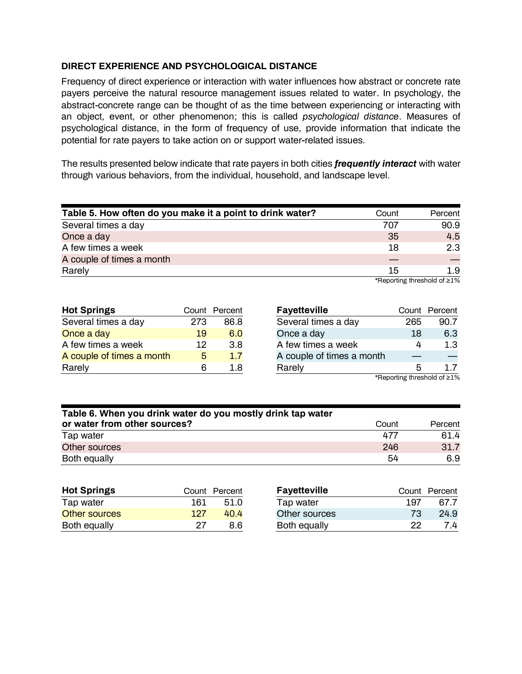### <span id="page-8-0"></span>**DIRECT EXPERIENCE AND PSYCHOLOGICAL DISTANCE**

Frequency of direct experience or interaction with water influences how abstract or concrete rate payers perceive the natural resource management issues related to water. In psychology, the abstract-concrete range can be thought of as the time between experiencing or interacting with an object, event, or other phenomenon; this is called *psychological distance*. Measures of psychological distance, in the form of frequency of use, provide information that indicate the potential for rate payers to take action on or support water-related issues.

The results presented below indicate that rate payers in both cities *frequently interact* with water through various behaviors, from the individual, household, and landscape level.

| Table 5. How often do you make it a point to drink water? | Count | Percent                     |
|-----------------------------------------------------------|-------|-----------------------------|
| Several times a day                                       | 707   | 90.9                        |
| Once a day                                                | 35    | 4.5                         |
| A few times a week                                        | 18    | 2.3                         |
| A couple of times a month                                 |       |                             |
| Rarely                                                    | 15    | 1.9                         |
|                                                           |       | *Renorting threshold of >1% |

\*Reporting threshold of ≥1%

| <b>Hot Springs</b>        |     | Count Percent |
|---------------------------|-----|---------------|
| Several times a day       | 273 | 86.8          |
| Once a day                | 19  | 6.0           |
| A few times a week        | 12  | 3.8           |
| A couple of times a month | 5   | 1.7           |
| Rarely                    | Բ   | 1 R           |

| <b>Fayetteville</b>       |                             | Count Percent |
|---------------------------|-----------------------------|---------------|
| Several times a day       | 265                         | 90.7          |
| Once a day                | 18                          | 6.3           |
| A few times a week        | 4                           | 1.3           |
| A couple of times a month |                             |               |
| Rarely                    | 5                           | 17            |
|                           | *Reporting threshold of >1% |               |

eporting threshold of

| Table 6. When you drink water do you mostly drink tap water |       |         |  |  |
|-------------------------------------------------------------|-------|---------|--|--|
| or water from other sources?                                | Count | Percent |  |  |
| Tap water                                                   | 477   | 61.4    |  |  |
| Other sources                                               | 246   | 31.7    |  |  |
| Both equally                                                | 54    | 6.9     |  |  |

| <b>Hot Springs</b> | Count | Percent | <b>Fayetteville</b> | Count | Percent |
|--------------------|-------|---------|---------------------|-------|---------|
| Tap water          | 161   | 51.0    | Tap water           | 197   | 67.7    |
| Other sources      | 127   | 40.4    | Other sources       | 73    | 24.9    |
| Both equally       | 27    | 8.6     | Both equally        | 22    | 7.4     |
|                    |       |         |                     |       |         |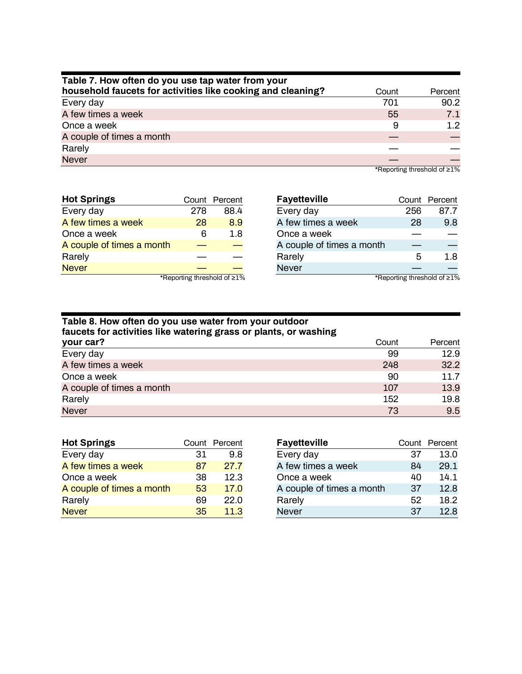| Table 7. How often do you use tap water from your           |       |                  |  |  |  |
|-------------------------------------------------------------|-------|------------------|--|--|--|
| household faucets for activities like cooking and cleaning? | Count | Percent          |  |  |  |
| Every day                                                   | 701   | 90.2             |  |  |  |
| A few times a week                                          | 55    | 7.1              |  |  |  |
| Once a week                                                 | 9     | 1.2 <sub>2</sub> |  |  |  |
| A couple of times a month                                   |       |                  |  |  |  |
| Rarely                                                      |       |                  |  |  |  |
| <b>Never</b>                                                |       |                  |  |  |  |

\*Reporting threshold of ≥1%

| <b>Hot Springs</b>                 |     | Count Percent |
|------------------------------------|-----|---------------|
| Every day                          | 278 | 88.4          |
| A few times a week                 | 28  | 8.9           |
| Once a week                        | ิค  | 1.8           |
| A couple of times a month          |     |               |
| Rarely                             |     |               |
| <b>Never</b>                       |     |               |
| *Reporting threshold of $\geq 1\%$ |     |               |

| <b>Fayetteville</b>       |     | Count Percent                               |
|---------------------------|-----|---------------------------------------------|
| Every day                 | 256 | 87.7                                        |
| A few times a week        | 28  | 9.8                                         |
| Once a week               |     |                                             |
| A couple of times a month |     |                                             |
| Rarely                    | 5   | 1.8                                         |
| <b>Never</b>              |     |                                             |
|                           |     | 107 كالمراج والمستحدث والمستخدمات والمستحدث |

| Table 8. How often do you use water from your outdoor<br>faucets for activities like watering grass or plants, or washing |       |         |  |  |
|---------------------------------------------------------------------------------------------------------------------------|-------|---------|--|--|
| your car?                                                                                                                 | Count | Percent |  |  |
| Every day                                                                                                                 | 99    | 12.9    |  |  |
| A few times a week                                                                                                        | 248   | 32.2    |  |  |
| Once a week                                                                                                               | 90    | 11.7    |  |  |
| A couple of times a month                                                                                                 | 107   | 13.9    |  |  |
| Rarely                                                                                                                    | 152   | 19.8    |  |  |
| <b>Never</b>                                                                                                              | 73    | 9.5     |  |  |

| <b>Hot Springs</b>        |    | Count Percent |
|---------------------------|----|---------------|
| Every day                 | 31 | 9.8           |
| A few times a week        | 87 | 27.7          |
| Once a week               | 38 | 12.3          |
| A couple of times a month | 53 | 17.0          |
| Rarely                    | 69 | 22.0          |
| <b>Never</b>              | 35 | 11.3          |

| <b>Fayetteville</b>       |    | Count Percent |
|---------------------------|----|---------------|
| Every day                 | 37 | 13.0          |
| A few times a week        | 84 | 29.1          |
| Once a week               | 40 | 14.1          |
| A couple of times a month | 37 | 12.8          |
| Rarely                    | 52 | 18.2          |
| <b>Never</b>              | 37 | 12.8          |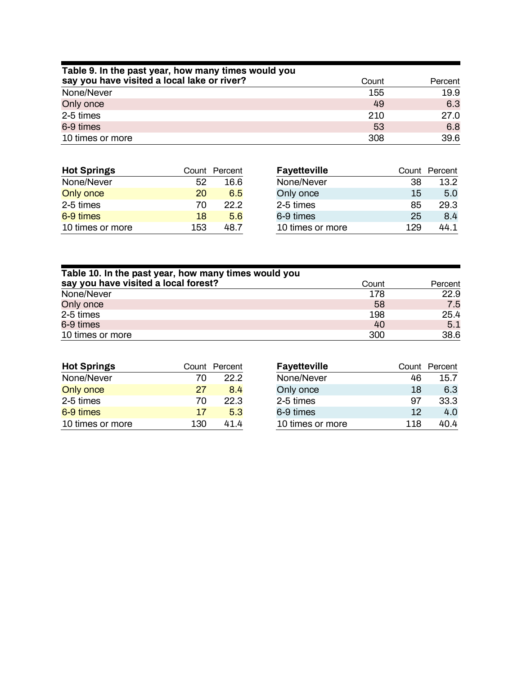| Table 9. In the past year, how many times would you |       |         |
|-----------------------------------------------------|-------|---------|
| say you have visited a local lake or river?         | Count | Percent |
| None/Never                                          | 155   | 19.9    |
| Only once                                           | 49    | 6.3     |
| 2-5 times                                           | 210   | 27.0    |
| 6-9 times                                           | 53    | 6.8     |
| 10 times or more                                    | 308   | 39.6    |

| <b>Hot Springs</b> | Count | Percent | <b>Fayetteville</b> | Count | Percent |
|--------------------|-------|---------|---------------------|-------|---------|
| None/Never         | 52    | 16.6    | None/Never          | 38    | 13.2    |
| Only once          | 20    | 6.5     | Only once           | 15    | 5.0     |
| 2-5 times          | 70    | 22.2    | 2-5 times           | 85    | 29.3    |
| 6-9 times          | 18    | 5.6     | 6-9 times           | 25    | 8.4     |
| 10 times or more   | 153   | 48.7    | 10 times or more    | 129   | 44.1    |

| Table 10. In the past year, how many times would you |       |         |  |
|------------------------------------------------------|-------|---------|--|
| say you have visited a local forest?                 | Count | Percent |  |
| None/Never                                           | 178   | 22.9    |  |
| Only once                                            | 58    | 7.5     |  |
| 2-5 times                                            | 198   | 25.4    |  |
| 6-9 times                                            | 40    | 5.1     |  |
| 10 times or more                                     | 300   | 38.6    |  |

| <b>Hot Springs</b> |     | Count Percent |
|--------------------|-----|---------------|
| None/Never         | 70  | 22.2          |
| Only once          | 27  | 8.4           |
| 2-5 times          | 70  | 22.3          |
| 6-9 times          | 17  | 5.3           |
| 10 times or more   | 130 | 41 4          |

| <b>Fayetteville</b> |     | Count Percent |
|---------------------|-----|---------------|
| None/Never          | 46  | 15.7          |
| Only once           | 18  | 6.3           |
| 2-5 times           | 97  | 33.3          |
| 6-9 times           | 12  | 4.0           |
| 10 times or more    | 118 | 40 4          |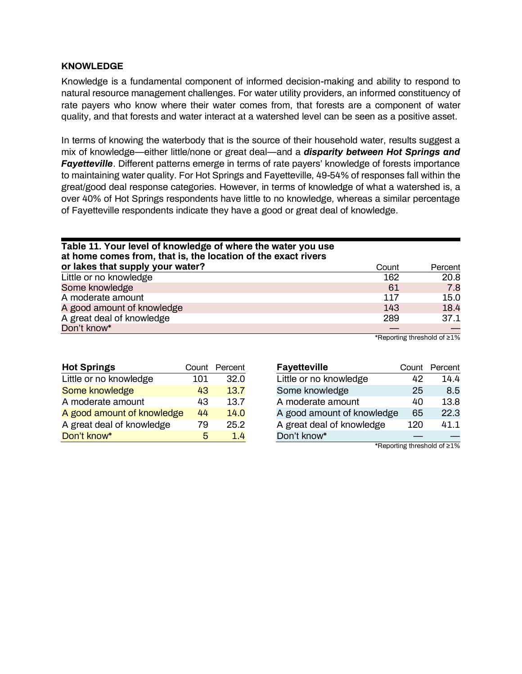#### <span id="page-11-0"></span>**KNOWLEDGE**

Knowledge is a fundamental component of informed decision-making and ability to respond to natural resource management challenges. For water utility providers, an informed constituency of rate payers who know where their water comes from, that forests are a component of water quality, and that forests and water interact at a watershed level can be seen as a positive asset.

In terms of knowing the waterbody that is the source of their household water, results suggest a mix of knowledge—either little/none or great deal—and a *disparity between Hot Springs and Fayetteville*. Different patterns emerge in terms of rate payers' knowledge of forests importance to maintaining water quality. For Hot Springs and Fayetteville, 49-54% of responses fall within the great/good deal response categories. However, in terms of knowledge of what a watershed is, a over 40% of Hot Springs respondents have little to no knowledge, whereas a similar percentage of Fayetteville respondents indicate they have a good or great deal of knowledge.

| Table 11. Your level of knowledge of where the water you use<br>at home comes from, that is, the location of the exact rivers |       |         |  |  |
|-------------------------------------------------------------------------------------------------------------------------------|-------|---------|--|--|
| or lakes that supply your water?                                                                                              | Count | Percent |  |  |
| Little or no knowledge                                                                                                        | 162   | 20.8    |  |  |
| Some knowledge                                                                                                                | 61    | 7.8     |  |  |
| A moderate amount                                                                                                             | 117   | 15.0    |  |  |
| A good amount of knowledge                                                                                                    | 143   | 18.4    |  |  |
| A great deal of knowledge                                                                                                     | 289   | 37.1    |  |  |
| Don't know*                                                                                                                   |       |         |  |  |

\*Reporting threshold of ≥1%

| <b>Hot Springs</b>         |     | Count Percent |
|----------------------------|-----|---------------|
| Little or no knowledge     | 101 | 32.0          |
| Some knowledge             | 43  | 13.7          |
| A moderate amount          | 43  | 13.7          |
| A good amount of knowledge | 44  | 14.0          |
| A great deal of knowledge  | 79  | 25.2          |
| Don't know*                | 5   | 14            |

| <b>Fayetteville</b>        |     | Count Percent                     |
|----------------------------|-----|-----------------------------------|
| Little or no knowledge     | 42  | 14.4                              |
| Some knowledge             | 25  | 8.5                               |
| A moderate amount          | 40  | 13.8                              |
| A good amount of knowledge | 65  | 22.3                              |
| A great deal of knowledge  | 120 | 41.1                              |
| Don't know*                |     |                                   |
|                            |     | $*D$ onorting throphold of $< 10$ |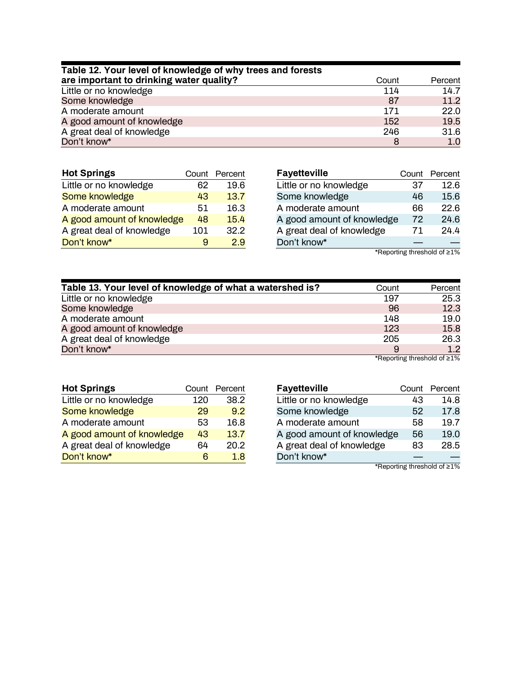| Table 12. Your level of knowledge of why trees and forests |       |         |
|------------------------------------------------------------|-------|---------|
| are important to drinking water quality?                   | Count | Percent |
| Little or no knowledge                                     | 114   | 14.7    |
| Some knowledge                                             | 87    | 11.2    |
| A moderate amount                                          | 171   | 22.0    |
| A good amount of knowledge                                 | 152   | 19.5    |
| A great deal of knowledge                                  | 246   | 31.6    |
| Don't know*                                                | 8     | 1.0     |

| <b>Hot Springs</b>         |     | Count Percent |
|----------------------------|-----|---------------|
| Little or no knowledge     | 62  | 19.6          |
| Some knowledge             | 43  | 13.7          |
| A moderate amount          | 51  | 16.3          |
| A good amount of knowledge | 48  | 15.4          |
| A great deal of knowledge  | 101 | 32.2          |
| Don't know*                | я   | 29            |

| <b>Fayetteville</b>        |    | Count Percent |
|----------------------------|----|---------------|
| Little or no knowledge     | 37 | 12.6          |
| Some knowledge             | 46 | 15.6          |
| A moderate amount          | 66 | 22.6          |
| A good amount of knowledge | 72 | 24.6          |
| A great deal of knowledge  | 71 | 24.4          |
| Don't know*                |    |               |

\*Reporting threshold of ≥1%

| Table 13. Your level of knowledge of what a watershed is? | Count | Percent |
|-----------------------------------------------------------|-------|---------|
| Little or no knowledge                                    | 197   | 25.3    |
| Some knowledge                                            | 96    | 12.3    |
| A moderate amount                                         | 148   | 19.0    |
| A good amount of knowledge                                | 123   | 15.8    |
| A great deal of knowledge                                 | 205   | 26.3    |
| Don't know*                                               | 9     | 1.2     |
|                                                           |       | $*D$    |

| *Reporting threshold of ≥1% |  |  |  |
|-----------------------------|--|--|--|
|-----------------------------|--|--|--|

| <b>Hot Springs</b>         |     | Count Percent |
|----------------------------|-----|---------------|
| Little or no knowledge     | 120 | 38.2          |
| Some knowledge             | 29  | 9.2           |
| A moderate amount          | 53  | 16.8          |
| A good amount of knowledge | 43  | 13.7          |
| A great deal of knowledge  | 64  | 20.2          |
| Don't know*                | ิค  | 1 R           |

| <b>Fayetteville</b>        |    | Count Percent |
|----------------------------|----|---------------|
| Little or no knowledge     | 43 | 14.8          |
| Some knowledge             | 52 | 17.8          |
| A moderate amount          | 58 | 19.7          |
| A good amount of knowledge | 56 | 19.0          |
| A great deal of knowledge  | 83 | 28.5          |
| Don't know*                |    |               |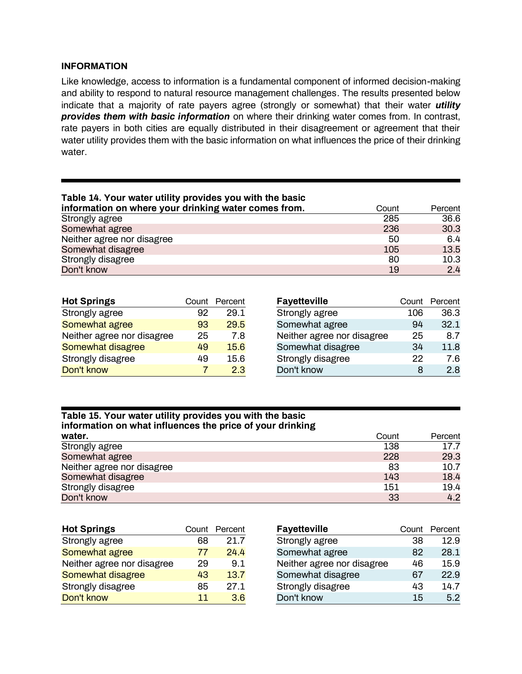### <span id="page-13-0"></span>**INFORMATION**

Like knowledge, access to information is a fundamental component of informed decision-making and ability to respond to natural resource management challenges. The results presented below indicate that a majority of rate payers agree (strongly or somewhat) that their water *utility provides them with basic information* on where their drinking water comes from. In contrast, rate payers in both cities are equally distributed in their disagreement or agreement that their water utility provides them with the basic information on what influences the price of their drinking water.

| Table 14. Your water utility provides you with the basic |       |         |
|----------------------------------------------------------|-------|---------|
| information on where your drinking water comes from.     | Count | Percent |
| Strongly agree                                           | 285   | 36.6    |
| Somewhat agree                                           | 236   | 30.3    |
| Neither agree nor disagree                               | 50    | 6.4     |
| Somewhat disagree                                        | 105   | 13.5    |
| Strongly disagree                                        | 80    | 10.3    |
| Don't know                                               | 19    | 2.4     |

| <b>Hot Springs</b>         |    | Count Percent |
|----------------------------|----|---------------|
| Strongly agree             | 92 | 29.1          |
| Somewhat agree             | 93 | 29.5          |
| Neither agree nor disagree | 25 | 7.8           |
| <b>Somewhat disagree</b>   | 49 | 15.6          |
| Strongly disagree          | 49 | 15.6          |
| Don't know                 |    | 2.3           |

| <b>Fayetteville</b>        |     | Count Percent |
|----------------------------|-----|---------------|
| Strongly agree             | 106 | 36.3          |
| Somewhat agree             | 94  | 32.1          |
| Neither agree nor disagree | 25  | 8.7           |
| Somewhat disagree          | 34  | 11.8          |
| Strongly disagree          | 22  | 7.6           |
| Don't know                 | 8   | 2.8           |

#### **Table 15. Your water utility provides you with the basic information on what influences the price of your drinking**

| water.                     | Count | Percent |
|----------------------------|-------|---------|
| Strongly agree             | 138   | 17.7    |
| Somewhat agree             | 228   | 29.3    |
| Neither agree nor disagree | 83    | 10.7    |
| Somewhat disagree          | 143   | 18.4    |
| Strongly disagree          | 151   | 19.4    |
| Don't know                 | 33    | 4.2     |

| <b>Hot Springs</b>         | Count | Percent | <b>Fayetteville</b>        | Count | Percent |
|----------------------------|-------|---------|----------------------------|-------|---------|
| Strongly agree             | 68    | 21.7    | Strongly agree             | 38    | 12.9    |
| Somewhat agree             | 77    | 24.4    | Somewhat agree             | 82    | 28.1    |
| Neither agree nor disagree | 29    | 9.1     | Neither agree nor disagree | 46    | 15.9    |
| Somewhat disagree          | 43    | 13.7    | Somewhat disagree          | 67    | 22.9    |
| Strongly disagree          | 85    | 27.1    | Strongly disagree          | 43    | 14.7    |
| Don't know                 | 11    | 3.6     | Don't know                 | 15    | 5.2     |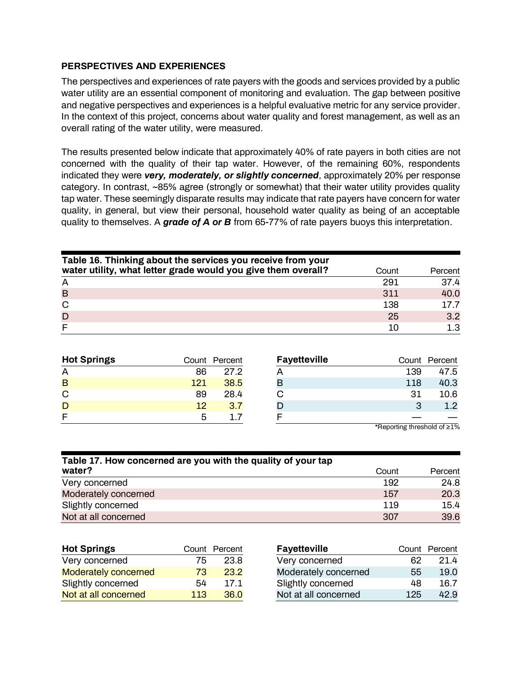### <span id="page-14-0"></span>**PERSPECTIVES AND EXPERIENCES**

The perspectives and experiences of rate payers with the goods and services provided by a public water utility are an essential component of monitoring and evaluation. The gap between positive and negative perspectives and experiences is a helpful evaluative metric for any service provider. In the context of this project, concerns about water quality and forest management, as well as an overall rating of the water utility, were measured.

The results presented below indicate that approximately 40% of rate payers in both cities are not concerned with the quality of their tap water. However, of the remaining 60%, respondents indicated they were *very, moderately, or slightly concerned*, approximately 20% per response category. In contrast, ~85% agree (strongly or somewhat) that their water utility provides quality tap water. These seemingly disparate results may indicate that rate payers have concern for water quality, in general, but view their personal, household water quality as being of an acceptable quality to themselves. A *grade of A or B* from 65-77% of rate payers buoys this interpretation.

| Table 16. Thinking about the services you receive from your   |       |         |  |  |  |  |  |
|---------------------------------------------------------------|-------|---------|--|--|--|--|--|
| water utility, what letter grade would you give them overall? | Count | Percent |  |  |  |  |  |
| A                                                             | 291   | 37.4    |  |  |  |  |  |
| B                                                             | 311   | 40.0    |  |  |  |  |  |
| C                                                             | 138   | 17.7    |  |  |  |  |  |
| D                                                             | 25    | 3.2     |  |  |  |  |  |
|                                                               | 10    | 1.3     |  |  |  |  |  |

| <b>Hot Springs</b> |     | Count Percent | <b>Fayetteville</b> | Count | Percent |
|--------------------|-----|---------------|---------------------|-------|---------|
| A                  | 86  | 27.2          |                     | 139   | 47.5    |
| B                  | 121 | 38.5          |                     | 118   | 40.3    |
| C                  | 89  | 28.4          |                     | 31    | 10.6    |
| D                  | 12  | 3.7           |                     | 3     | 1.2     |
| F                  | ხ   |               |                     |       |         |

| Table 17. How concerned are you with the quality of your tap |       |         |  |  |  |  |
|--------------------------------------------------------------|-------|---------|--|--|--|--|
| water?                                                       | Count | Percent |  |  |  |  |
| Very concerned                                               | 192   | 24.8    |  |  |  |  |
| Moderately concerned                                         | 157   | 20.3    |  |  |  |  |
| Slightly concerned                                           | 119   | 15.4    |  |  |  |  |
| Not at all concerned                                         | 307   | 39.6    |  |  |  |  |

| <b>Hot Springs</b>          |     | Count Percent | <b>Fayetteville</b>  |     | Count Percent |
|-----------------------------|-----|---------------|----------------------|-----|---------------|
| Very concerned              | 75  | 23.8          | Very concerned       | 62  | 21.4          |
| <b>Moderately concerned</b> | 73  | 23.2          | Moderately concerned | 55  | 19.0          |
| Slightly concerned          | 54  | 17.1          | Slightly concerned   | 48  | 16.7          |
| Not at all concerned        | 113 | 36.0          | Not at all concerned | 125 | 42.9          |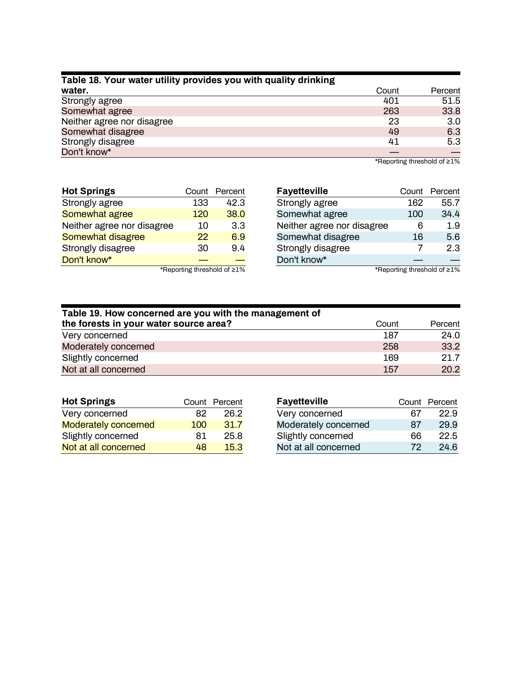| Table 18. Your water utility provides you with quality drinking |       |         |  |  |  |  |
|-----------------------------------------------------------------|-------|---------|--|--|--|--|
| water.                                                          | Count | Percent |  |  |  |  |
| Strongly agree                                                  | 401   | 51.5    |  |  |  |  |
| Somewhat agree                                                  | 263   | 33.8    |  |  |  |  |
| Neither agree nor disagree                                      | 23    | 3.0     |  |  |  |  |
| Somewhat disagree                                               | 49    | 6.3     |  |  |  |  |
| Strongly disagree                                               | 41    | 5.3     |  |  |  |  |
| Don't know*                                                     |       |         |  |  |  |  |

\*Reporting threshold of ≥1%

| <b>Hot Springs</b>         |     | Count Percent      |
|----------------------------|-----|--------------------|
| Strongly agree             | 133 | 42.3               |
| Somewhat agree             | 120 | 38.0               |
| Neither agree nor disagree | 10  | 3.3                |
| Somewhat disagree          | 22  | 6.9                |
| Strongly disagree          | 30  | 94                 |
| Don't know*                |     |                    |
|                            |     | $*Donoting the ch$ |

| <b>Fayetteville</b>        |     | Count Percent |
|----------------------------|-----|---------------|
| Strongly agree             | 162 | 55.7          |
| Somewhat agree             | 100 | 34.4          |
| Neither agree nor disagree | 6   | 1.9           |
| Somewhat disagree          | 16  | 5.6           |
| Strongly disagree          | 7   | 2.3           |
| Don't know*                |     |               |

\*Reporting threshold of ≥1%

| Table 19. How concerned are you with the management of |            |         |  |  |  |  |
|--------------------------------------------------------|------------|---------|--|--|--|--|
| the forests in your water source area?                 | Count      | Percent |  |  |  |  |
| Very concerned                                         | 187        | 24.0    |  |  |  |  |
| Moderately concerned                                   | 258        | 33.2    |  |  |  |  |
| Slightly concerned                                     | 169        | 21.7    |  |  |  |  |
| Not at all concerned                                   | <b>157</b> | 20.2    |  |  |  |  |

| <b>Hot Springs</b>          |     | Count Percent | <b>Fayetteville</b>  |    | Count Percent |
|-----------------------------|-----|---------------|----------------------|----|---------------|
| Very concerned              | 82  | 26.2          | Very concerned       | 67 | 22.9          |
| <b>Moderately concerned</b> | 100 | 31.7          | Moderately concerned | 87 | 29.9          |
| Slightly concerned          | 81  | 25.8          | Slightly concerned   | 66 | 22.5          |
| Not at all concerned        | 48  | 15.3          | Not at all concerned | 72 | 24.6          |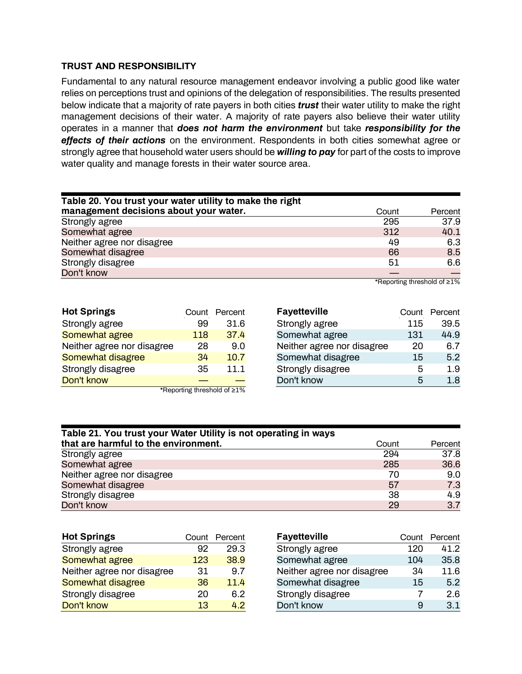### <span id="page-16-0"></span>**TRUST AND RESPONSIBILITY**

Fundamental to any natural resource management endeavor involving a public good like water relies on perceptions trust and opinions of the delegation of responsibilities. The results presented below indicate that a majority of rate payers in both cities *trust* their water utility to make the right management decisions of their water. A majority of rate payers also believe their water utility operates in a manner that *does not harm the environment* but take *responsibility for the effects of their actions* on the environment. Respondents in both cities somewhat agree or strongly agree that household water users should be *willing to pay* for part of the costs to improve water quality and manage forests in their water source area.

| Table 20. You trust your water utility to make the right |       |         |
|----------------------------------------------------------|-------|---------|
| management decisions about your water.                   | Count | Percent |
| Strongly agree                                           | 295   | 37.9    |
| Somewhat agree                                           | 312   | 40.1    |
| Neither agree nor disagree                               | 49    | 6.3     |
| Somewhat disagree                                        | 66    | 8.5     |
| Strongly disagree                                        | 51    | 6.6     |
| Don't know                                               |       |         |

| <b>Hot Springs</b>          |     | Count Percent |  |  |  |
|-----------------------------|-----|---------------|--|--|--|
| Strongly agree              | 99  | 31.6          |  |  |  |
| Somewhat agree              | 118 | 37.4          |  |  |  |
| Neither agree nor disagree  | 28  | 9.0           |  |  |  |
| Somewhat disagree           | 34  | 10.7          |  |  |  |
| Strongly disagree           | 35  | 11.1          |  |  |  |
| Don't know                  |     |               |  |  |  |
| *Reporting threshold of ≥1% |     |               |  |  |  |

| <b>Fayetteville</b>        |     | Count Percent |
|----------------------------|-----|---------------|
| Strongly agree             | 115 | 39.5          |
| Somewhat agree             | 131 | 44.9          |
| Neither agree nor disagree | 20  | 6.7           |
| Somewhat disagree          | 15  | 5.2           |
| Strongly disagree          | 5   | 1.9           |
| Don't know                 | 5   | 1.8           |

| Table 21. You trust your Water Utility is not operating in ways |       |         |
|-----------------------------------------------------------------|-------|---------|
| that are harmful to the environment.                            | Count | Percent |
| Strongly agree                                                  | 294   | 37.8    |
| Somewhat agree                                                  | 285   | 36.6    |
| Neither agree nor disagree                                      | 70    | 9.0     |
| Somewhat disagree                                               | 57    | 7.3     |
| Strongly disagree                                               | 38    | 4.9     |
| Don't know                                                      | 29    | 3.7     |

| <b>Hot Springs</b>         | Count | Percent |
|----------------------------|-------|---------|
| Strongly agree             | 92    | 29.3    |
| Somewhat agree             | 123   | 38.9    |
| Neither agree nor disagree | 31    | 9.7     |
| Somewhat disagree          | 36    | 11.4    |
| Strongly disagree          | 20    | 6.2     |
| Don't know                 | 13    | 42      |

| <b>Fayetteville</b>        |     | Count Percent |
|----------------------------|-----|---------------|
| Strongly agree             | 120 | 41.2          |
| Somewhat agree             | 104 | 35.8          |
| Neither agree nor disagree | 34  | 11.6          |
| Somewhat disagree          | 15  | 5.2           |
| Strongly disagree          | 7   | 2.6           |
| Don't know                 | я   | 3.1           |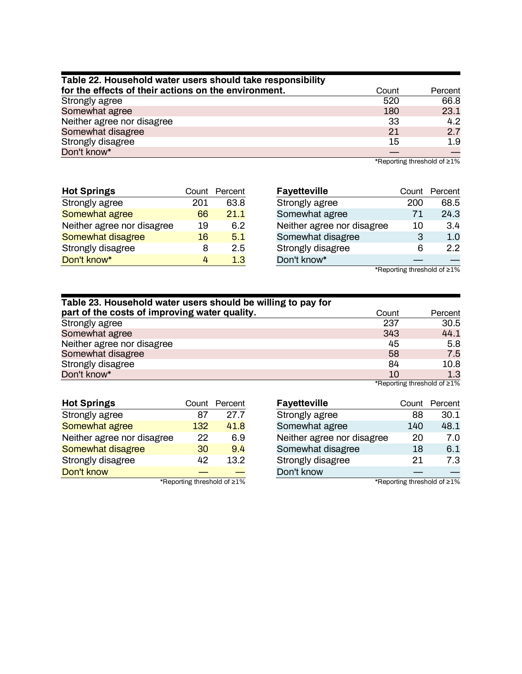| Table 22. Household water users should take responsibility |       |         |  |  |
|------------------------------------------------------------|-------|---------|--|--|
| for the effects of their actions on the environment.       | Count | Percent |  |  |
| Strongly agree                                             | 520   | 66.8    |  |  |
| Somewhat agree                                             | 180   | 23.1    |  |  |
| Neither agree nor disagree                                 | 33    | 4.2     |  |  |
| Somewhat disagree                                          | 21    | 2.7     |  |  |
| Strongly disagree                                          | 15    | 1.9     |  |  |
| Don't know*                                                |       |         |  |  |

\*Reporting threshold of ≥1%

| <b>Hot Springs</b>         |     | Count Percent |
|----------------------------|-----|---------------|
| Strongly agree             | 201 | 63.8          |
| Somewhat agree             | 66  | 21.1          |
| Neither agree nor disagree | 19  | 6.2           |
| Somewhat disagree          | 16  | 5.1           |
| Strongly disagree          | 8   | 2.5           |
| Don't know*                | 4   | 1.3           |

|     | Count Percent |
|-----|---------------|
| 200 | 68.5          |
| 71  | 24.3          |
| 10  | 3.4           |
| 3   | 1.0           |
| 6   | 2.2           |
|     |               |
|     |               |

\*Reporting threshold of ≥1%

| Table 23. Household water users should be willing to pay for |       |                             |
|--------------------------------------------------------------|-------|-----------------------------|
| part of the costs of improving water quality.                | Count | Percent                     |
| Strongly agree                                               | 237   | 30.5                        |
| Somewhat agree                                               | 343   | 44.1                        |
| Neither agree nor disagree                                   | 45    | 5.8                         |
| Somewhat disagree                                            | 58    | 7.5                         |
| Strongly disagree                                            | 84    | 10.8                        |
| Don't know*                                                  | 10    | 1.3                         |
|                                                              |       | *Reporting threshold of ≥1% |

| <b>Hot Springs</b>         |     | Count Percent                                             |
|----------------------------|-----|-----------------------------------------------------------|
| Strongly agree             | 87  | 27.7                                                      |
| Somewhat agree             | 132 | 41.8                                                      |
| Neither agree nor disagree | 22  | 6.9                                                       |
| Somewhat disagree          | 30  | 9.4                                                       |
| Strongly disagree          | 42  | 13.2                                                      |
| Don't know                 |     |                                                           |
|                            |     | $*$ December 2014 and the contract of the Latter 2014 $*$ |

| <b>Fayetteville</b>        |     | Count Percent |
|----------------------------|-----|---------------|
| Strongly agree             | 88  | 30.1          |
| Somewhat agree             | 140 | 48.1          |
| Neither agree nor disagree | 20  | 7.0           |
| Somewhat disagree          | 18  | 6.1           |
| Strongly disagree          | 21  | 7.3           |
| Don't know                 |     |               |

\*Reporting threshold of ≥1%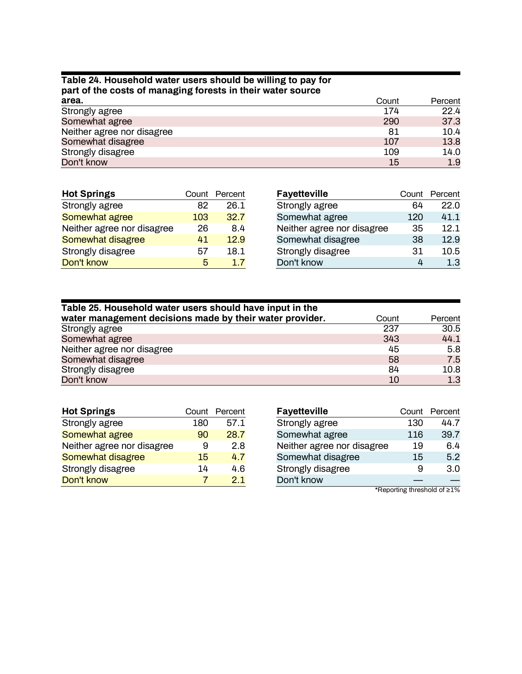# **Table 24. Household water users should be willing to pay for part of the costs of managing forests in their water source**

| area.                      | Count     | Percent |
|----------------------------|-----------|---------|
| Strongly agree             | 174       | 22.4    |
| Somewhat agree             | 290       | 37.3    |
| Neither agree nor disagree | 81        | 10.4    |
| Somewhat disagree          | 107       | 13.8    |
| Strongly disagree          | 109       | 14.0    |
| Don't know                 | <b>15</b> | 1.9     |

| <b>Hot Springs</b>         |     | Count Percent | Fayettevi  |
|----------------------------|-----|---------------|------------|
| Strongly agree             | 82  | 26.1          | Strongly a |
| Somewhat agree             | 103 | 32.7          | Somewha    |
| Neither agree nor disagree | 26  | 8.4           | Neither a  |
| Somewhat disagree          | 41  | 12.9          | Somewha    |
| Strongly disagree          | 57  | 18.1          | Strongly o |
| Don't know                 | 5   | 17            | Don't kno  |

| <b>Fayetteville</b>        |     | Count Percent |
|----------------------------|-----|---------------|
| Strongly agree             | 64  | 22.0          |
| Somewhat agree             | 120 | 41.1          |
| Neither agree nor disagree | 35  | 12.1          |
| Somewhat disagree          | 38  | 12.9          |
| Strongly disagree          | 31  | 10.5          |
| Don't know                 | 4   | 1.3           |

| Table 25. Household water users should have input in the |       |         |
|----------------------------------------------------------|-------|---------|
| water management decisions made by their water provider. | Count | Percent |
| Strongly agree                                           | 237   | 30.5    |
| Somewhat agree                                           | 343   | 44.1    |
| Neither agree nor disagree                               | 45    | 5.8     |
| Somewhat disagree                                        | 58    | 7.5     |
| Strongly disagree                                        | 84    | 10.8    |
| Don't know                                               | 10    | 1.3     |

| <b>Hot Springs</b>         |     | Count Percent |
|----------------------------|-----|---------------|
| Strongly agree             | 180 | 57.1          |
| Somewhat agree             | 90  | 28.7          |
| Neither agree nor disagree | я   | 2.8           |
| Somewhat disagree          | 15  | 4.7           |
| Strongly disagree          | 14  | 4.6           |
| Don't know                 |     | 21            |

| <b>Fayetteville</b>        | Count | Percent |
|----------------------------|-------|---------|
| Strongly agree             | 130   | 44.7    |
| Somewhat agree             | 116   | 39.7    |
| Neither agree nor disagree | 19    | 6.4     |
| Somewhat disagree          | 15    | 5.2     |
| Strongly disagree          | 9     | 3.0     |
| Don't know                 |       |         |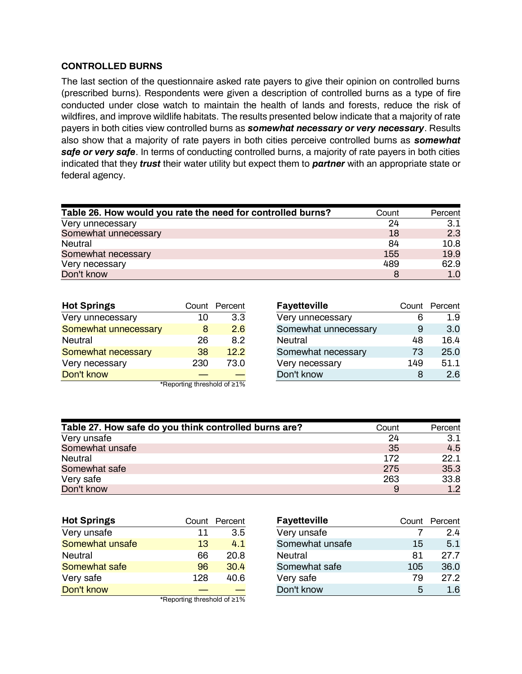### <span id="page-19-0"></span>**CONTROLLED BURNS**

The last section of the questionnaire asked rate payers to give their opinion on controlled burns (prescribed burns). Respondents were given a description of controlled burns as a type of fire conducted under close watch to maintain the health of lands and forests, reduce the risk of wildfires, and improve wildlife habitats. The results presented below indicate that a majority of rate payers in both cities view controlled burns as *somewhat necessary or very necessary*. Results also show that a majority of rate payers in both cities perceive controlled burns as *somewhat safe or very safe*. In terms of conducting controlled burns, a majority of rate payers in both cities indicated that they *trust* their water utility but expect them to *partner* with an appropriate state or federal agency.

| Table 26. How would you rate the need for controlled burns? | Count | Percent |
|-------------------------------------------------------------|-------|---------|
| Very unnecessary                                            | 24    | 3.1     |
| Somewhat unnecessary                                        | 18    | 2.3     |
| Neutral                                                     | 84    | 10.8    |
| Somewhat necessary                                          | 155   | 19.9    |
| Very necessary                                              | 489   | 62.9    |
| Don't know                                                  | 8     | 1.0     |

| <b>Hot Springs</b>          |     | Count Percent |
|-----------------------------|-----|---------------|
| Very unnecessary            | 10  | 3.3           |
| Somewhat unnecessary        | 8   | 2.6           |
| <b>Neutral</b>              | 26  | 8.2           |
| Somewhat necessary          | 38  | 12.2          |
| Very necessary              | 230 | 73.0          |
| Don't know                  |     |               |
| *Reporting threshold of ≥1% |     |               |

| <b>Fayetteville</b>  |     | Count Percent |
|----------------------|-----|---------------|
| Very unnecessary     | ჩ   | 1.9           |
| Somewhat unnecessary | 9   | 3.0           |
| <b>Neutral</b>       | 48  | 16.4          |
| Somewhat necessary   | 73  | 25.0          |
| Very necessary       | 149 | 51.1          |
| Don't know           | x   | 2.6           |

| Table 27. How safe do you think controlled burns are? | Count | Percent |
|-------------------------------------------------------|-------|---------|
| Very unsafe                                           | 24    | 3.1     |
| Somewhat unsafe                                       | 35    | 4.5     |
| Neutral                                               | 172   | 22.1    |
| Somewhat safe                                         | 275   | 35.3    |
| Very safe                                             | 263   | 33.8    |
| Don't know                                            | 9     | 1.2     |

| <b>Hot Springs</b> |                                      | Count Percent |
|--------------------|--------------------------------------|---------------|
| Very unsafe        | 11                                   | 3.5           |
| Somewhat unsafe    | 13                                   | 4.1           |
| <b>Neutral</b>     | 66                                   | 20.8          |
| Somewhat safe      | 96                                   | 30.4          |
| Very safe          | 128                                  | 40.6          |
| Don't know         |                                      |               |
|                    | $*$ Donorting throphold of $\leq 10$ |               |

| <b>Fayetteville</b> |     | Count Percent |
|---------------------|-----|---------------|
| Very unsafe         |     | 2.4           |
| Somewhat unsafe     | 15  | 5.1           |
| <b>Neutral</b>      | 81  | 27.7          |
| Somewhat safe       | 105 | 36.0          |
| Very safe           | 79  | 27.2          |
| Don't know          | 5   | $1.6\,$       |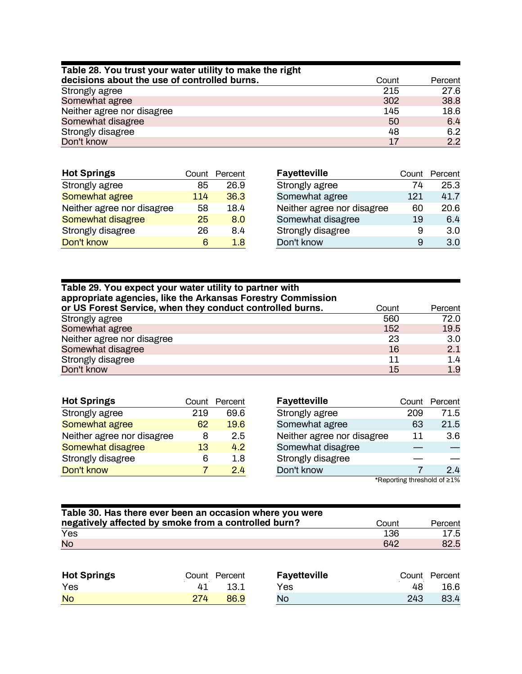| Table 28. You trust your water utility to make the right |       |         |
|----------------------------------------------------------|-------|---------|
| decisions about the use of controlled burns.             | Count | Percent |
| Strongly agree                                           | 215   | 27.6    |
| Somewhat agree                                           | 302   | 38.8    |
| Neither agree nor disagree                               | 145   | 18.6    |
| Somewhat disagree                                        | 50    | 6.4     |
| Strongly disagree                                        | 48    | 6.2     |
| Don't know                                               | 17    | 2.2     |

| <b>Hot Springs</b>         | Count | Percent | F, |
|----------------------------|-------|---------|----|
| Strongly agree             | 85    | 26.9    |    |
| Somewhat agree             | 114   | 36.3    | S  |
| Neither agree nor disagree | 58    | 18.4    | N  |
| Somewhat disagree          | 25    | 8.0     | S  |
| Strongly disagree          | 26    | 8.4     | S  |
| Don't know                 | ิค    | 18      | ח  |

| <b>Fayetteville</b>        |     | Count Percent |
|----------------------------|-----|---------------|
| Strongly agree             | 74  | 25.3          |
| Somewhat agree             | 121 | 41.7          |
| Neither agree nor disagree | 60  | 20.6          |
| Somewhat disagree          | 19  | 6.4           |
| Strongly disagree          | 9   | 3.0           |
| Don't know                 | я   | 3.0           |

# **Table 29. You expect your water utility to partner with appropriate agencies, like the Arkansas Forestry Commission**

| or US Forest Service, when they conduct controlled burns. | Count | Percent |
|-----------------------------------------------------------|-------|---------|
| Strongly agree                                            | 560   | 72.0    |
| Somewhat agree                                            | 152   | 19.5    |
| Neither agree nor disagree                                | 23    | 3.0     |
| Somewhat disagree                                         | 16    | 2.1     |
| Strongly disagree                                         | 11    | 1.4     |
| Don't know                                                | 15    | 1.9     |

| <b>Hot Springs</b>         |     | Count Percent  |
|----------------------------|-----|----------------|
| Strongly agree             | 219 | 69.6           |
| Somewhat agree             | 62  | 19.6           |
| Neither agree nor disagree | 8   | 2.5            |
| Somewhat disagree          | 13  | 4.2            |
| Strongly disagree          | ิค  | 1.8            |
| Don't know                 |     | 2 <sub>4</sub> |

| <b>Fayetteville</b>        |     | Count Percent |
|----------------------------|-----|---------------|
| Strongly agree             | 209 | 71.5          |
| Somewhat agree             | 63  | 21.5          |
| Neither agree nor disagree | 11  | 3.6           |
| Somewhat disagree          |     |               |
| Strongly disagree          |     |               |
| Don't know                 |     |               |

| Table 30. Has there ever been an occasion where you were |       |         |
|----------------------------------------------------------|-------|---------|
| negatively affected by smoke from a controlled burn?     | Count | Percent |
| Yes                                                      | 136   | 17.5    |
| <b>No</b>                                                | 642   | 82.5    |

| <b>Hot Springs</b> |     | Count Percent | Fayetteville |     | Count Percent |
|--------------------|-----|---------------|--------------|-----|---------------|
| Yes                |     | 13.1          | Yes          | 48  | 16.6          |
| <b>No</b>          | 274 | 86.9          | No           | 243 | 83.4          |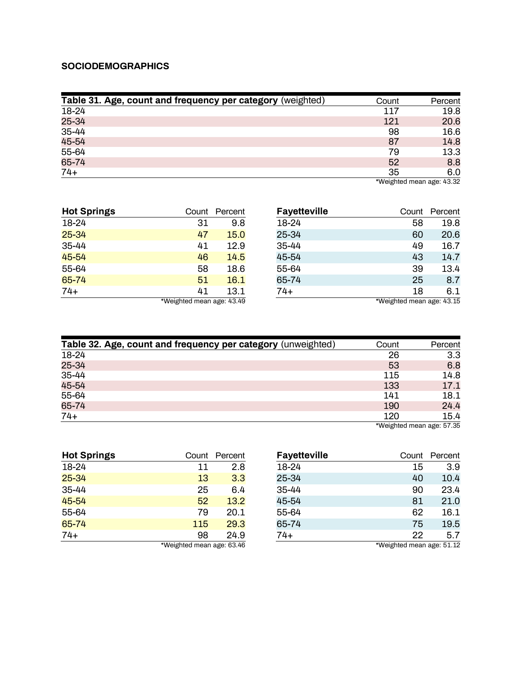### <span id="page-21-0"></span>**SOCIODEMOGRAPHICS**

| Table 31. Age, count and frequency per category (weighted) | Count | Percent                     |
|------------------------------------------------------------|-------|-----------------------------|
| 18-24                                                      | 117   | 19.8                        |
| 25-34                                                      | 121   | 20.6                        |
| 35-44                                                      | 98    | 16.6                        |
| 45-54                                                      | 87    | 14.8                        |
| 55-64                                                      | 79    | 13.3                        |
| 65-74                                                      | 52    | 8.8                         |
| $74+$                                                      | 35    | 6.0<br>$\sim$ $\sim$ $\sim$ |

\*Weighted mean age: 43.32

| <b>Hot Springs</b> | Count                     | Percent | <b>Fayetteville</b> | Count                     | Percent |
|--------------------|---------------------------|---------|---------------------|---------------------------|---------|
| 18-24              | 31                        | 9.8     | 18-24               | 58                        | 19.8    |
| $25 - 34$          | 47                        | 15.0    | 25-34               | 60                        | 20.6    |
| 35-44              | 41                        | 12.9    | 35-44               | 49                        | 16.7    |
| 45-54              | 46                        | 14.5    | 45-54               | 43                        | 14.7    |
| 55-64              | 58                        | 18.6    | 55-64               | 39                        | 13.4    |
| 65-74              | 51                        | 16.1    | 65-74               | 25                        | 8.7     |
| $74+$              | 41                        | 13.1    | 74+                 | 18                        | 6.1     |
|                    | *Weighted mean age: 43.49 |         |                     | *Weighted mean age: 43.15 |         |

| Table 32. Age, count and frequency per category (unweighted) | Count | Percent |
|--------------------------------------------------------------|-------|---------|
| 18-24                                                        | 26    | 3.3     |
| 25-34                                                        | 53    | 6.8     |
| 35-44                                                        | 115   | 14.8    |
| 45-54                                                        | 133   | 17.1    |
| 55-64                                                        | 141   | 18.1    |
| 65-74                                                        | 190   | 24.4    |
| $74+$                                                        | 120   | 15.4    |

\*Weighted mean age: 57.35

| <b>Hot Springs</b>        |     | Count Percent |
|---------------------------|-----|---------------|
| 18-24                     | 11  | 2.8           |
| 25-34                     | 13  | 3.3           |
| 35-44                     | 25  | 6.4           |
| 45-54                     | 52  | 13.2          |
| 55-64                     | 79  | 20.1          |
| 65-74                     | 115 | 29.3          |
| $74+$                     | 98  | 24.9          |
| *Weighted mean age: 63.46 |     |               |

| <b>Fayetteville</b> |                           | Count Percent |
|---------------------|---------------------------|---------------|
| 18-24               | 15                        | 3.9           |
| 25-34               | 40                        | 10.4          |
| 35-44               | 90                        | 23.4          |
| 45-54               | 81                        | 21.0          |
| 55-64               | 62                        | 16.1          |
| 65-74               | 75                        | 19.5          |
| $74+$               | 22                        | 5.7           |
|                     | *Weighted mean age: 51.12 |               |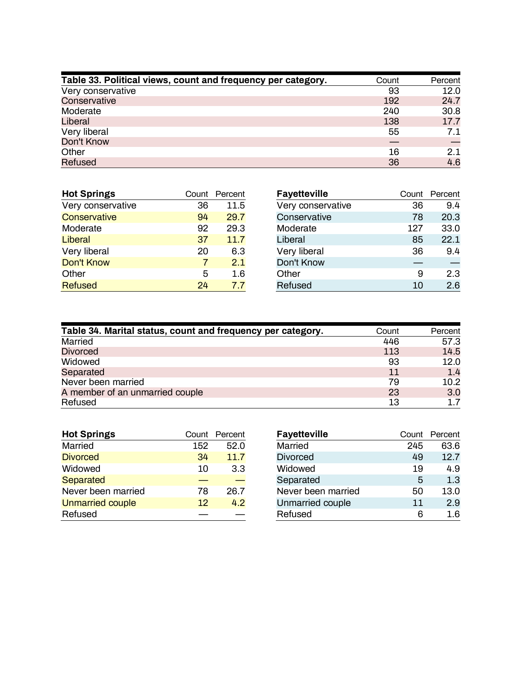| Table 33. Political views, count and frequency per category. | Count | Percent |
|--------------------------------------------------------------|-------|---------|
| Very conservative                                            | 93    | 12.0    |
| Conservative                                                 | 192   | 24.7    |
| Moderate                                                     | 240   | 30.8    |
| Liberal                                                      | 138   | 17.7    |
| Very liberal                                                 | 55    | 7.1     |
| Don't Know                                                   |       |         |
| Other                                                        | 16    | 2.1     |
| <b>Refused</b>                                               | 36    | 4.6     |

| <b>Hot Springs</b> |    | Count Percent |
|--------------------|----|---------------|
| Very conservative  | 36 | 11.5          |
| Conservative       | 94 | 29.7          |
| Moderate           | 92 | 29.3          |
| Liberal            | 37 | 11.7          |
| Very liberal       | 20 | 6.3           |
| <b>Don't Know</b>  | 7  | 2.1           |
| Other              | 5  | 1.6           |
| <b>Refused</b>     | 24 | 77            |

| <b>Fayetteville</b> |     | Count Percent |
|---------------------|-----|---------------|
| Very conservative   | 36  | 94            |
| Conservative        | 78  | 20.3          |
| Moderate            | 127 | 33.0          |
| Liberal             | 85  | 22.1          |
| Very liberal        | 36  | 9.4           |
| Don't Know          |     |               |
| Other               | 9   | 2.3           |
| Refused             | 10  | 2.6           |

| Table 34. Marital status, count and frequency per category. | Count | Percent |
|-------------------------------------------------------------|-------|---------|
| Married                                                     | 446   | 57.3    |
| <b>Divorced</b>                                             | 113   | 14.5    |
| Widowed                                                     | 93    | 12.0    |
| Separated                                                   | 11    | 1.4     |
| Never been married                                          | 79    | 10.2    |
| A member of an unmarried couple                             | 23    | 3.0     |
| Refused                                                     | 13    | 1.7     |

| <b>Hot Springs</b>      |     | Count Percent |
|-------------------------|-----|---------------|
| Married                 | 152 | 52.0          |
| <b>Divorced</b>         | 34  | 11.7          |
| Widowed                 | 10  | 3.3           |
| <b>Separated</b>        |     |               |
| Never been married      | 78  | 26.7          |
| <b>Unmarried couple</b> | 12  | 4.2           |
| Refused                 |     |               |

| <b>Fayetteville</b> |     | Count Percent |
|---------------------|-----|---------------|
| Married             | 245 | 63.6          |
| <b>Divorced</b>     | 49  | 12.7          |
| Widowed             | 19  | 4.9           |
| Separated           | 5   | 1.3           |
| Never been married  | 50  | 13.0          |
| Unmarried couple    | 11  | 2.9           |
| Refused             | հ   | 1.6           |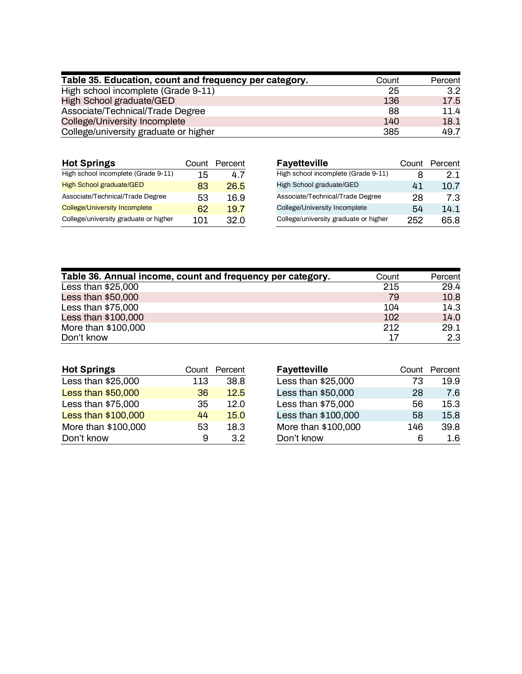| Table 35. Education, count and frequency per category. | Count | Percent |
|--------------------------------------------------------|-------|---------|
| High school incomplete (Grade 9-11)                    | 25    | 3.2     |
| High School graduate/GED                               | 136   | 17.5    |
| Associate/Technical/Trade Degree                       | 88    | 11.4    |
| College/University Incomplete                          | 140   | 18.1    |
| College/university graduate or higher                  | 385   | 49.7    |

| <b>Hot Springs</b>                    | Count | Percent | <b>Fayetteville</b>                   | Count | Percent |
|---------------------------------------|-------|---------|---------------------------------------|-------|---------|
| High school incomplete (Grade 9-11)   | 15    | 4.7     | High school incomplete (Grade 9-11)   |       | 2.1     |
| <b>High School graduate/GED</b>       | 83    | 26.5    | High School graduate/GED              | 41    | 10.7    |
| Associate/Technical/Trade Degree      | 53    | 16.9    | Associate/Technical/Trade Degree      | 28    | 7.3     |
| <b>College/University Incomplete</b>  | 62    | 19.7    | College/University Incomplete         | 54    | 14.1    |
| College/university graduate or higher | 101   | 32.0    | College/university graduate or higher | 252   | 65.8    |

| Table 36. Annual income, count and frequency per category. | Count | Percent |
|------------------------------------------------------------|-------|---------|
| Less than $$25,000$                                        | 215   | 29.4    |
| Less than $$50,000$                                        | 79    | 10.8    |
| Less than $$75,000$                                        | 104   | 14.3    |
| Less than \$100,000                                        | 102   | 14.0    |
| More than \$100,000                                        | 212   | 29.1    |
| Don't know                                                 | 17    | 2.3     |

| <b>Hot Springs</b>  |     | Count Percent |
|---------------------|-----|---------------|
| Less than \$25,000  | 113 | 38.8          |
| Less than \$50,000  | 36  | 12.5          |
| Less than \$75,000  | 35  | 12.0          |
| Less than \$100,000 | 44  | 15.0          |
| More than \$100,000 | 53  | 18.3          |
| Don't know          | 9   | 32            |

| <b>Fayetteville</b> |     | Count Percent |
|---------------------|-----|---------------|
| Less than \$25,000  | 73  | 19.9          |
| Less than \$50,000  | 28  | 7.6           |
| Less than \$75,000  | 56  | 15.3          |
| Less than \$100,000 | 58  | 15.8          |
| More than \$100,000 | 146 | 39.8          |
| Don't know          | ห   | 1.6           |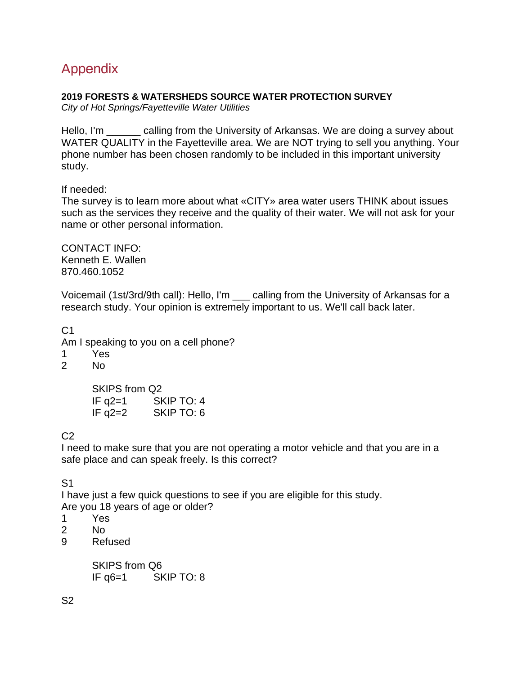# <span id="page-24-0"></span>Appendix

# **2019 FORESTS & WATERSHEDS SOURCE WATER PROTECTION SURVEY**

*City of Hot Springs/Fayetteville Water Utilities* 

Hello, I'm <u>equal calling from the University of Arkansas</u>. We are doing a survey about WATER QUALITY in the Fayetteville area. We are NOT trying to sell you anything. Your phone number has been chosen randomly to be included in this important university study.

If needed:

The survey is to learn more about what «CITY» area water users THINK about issues such as the services they receive and the quality of their water. We will not ask for your name or other personal information.

CONTACT INFO: Kenneth E. Wallen 870.460.1052

Voicemail (1st/3rd/9th call): Hello, I'm \_\_\_ calling from the University of Arkansas for a research study. Your opinion is extremely important to us. We'll call back later.

 $C<sub>1</sub>$ Am I speaking to you on a cell phone?

- 1 Yes
- No

SKIPS from Q2 IF q2=1 SKIP TO: 4 IF q2=2 SKIP TO: 6

 $C<sub>2</sub>$ 

I need to make sure that you are not operating a motor vehicle and that you are in a safe place and can speak freely. Is this correct?

S1

I have just a few quick questions to see if you are eligible for this study. Are you 18 years of age or older?

- 1 Yes
- 2 No
- 9 Refused

SKIPS from Q6 IF q6=1 SKIP TO: 8

S2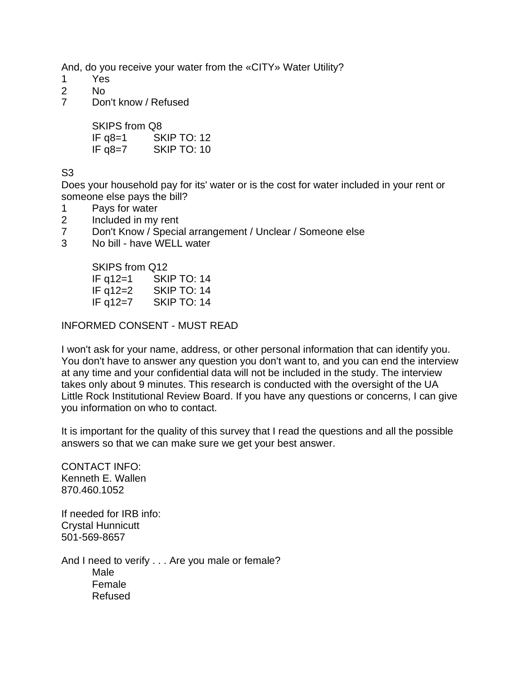And, do you receive your water from the «CITY» Water Utility?

- 1 Yes
- 2 No
- 7 Don't know / Refused

SKIPS from Q8 IF q8=1 SKIP TO: 12 IF  $q8=7$  SKIP TO: 10

S3

Does your household pay for its' water or is the cost for water included in your rent or someone else pays the bill?

- 1 Pays for water
- 2 Included in my rent
- 7 Don't Know / Special arrangement / Unclear / Someone else
- 3 No bill have WELL water

SKIPS from Q12 IF q12=1 SKIP TO: 14 IF q12=2 SKIP TO: 14 IF q12=7 SKIP TO: 14

INFORMED CONSENT - MUST READ

I won't ask for your name, address, or other personal information that can identify you. You don't have to answer any question you don't want to, and you can end the interview at any time and your confidential data will not be included in the study. The interview takes only about 9 minutes. This research is conducted with the oversight of the UA Little Rock Institutional Review Board. If you have any questions or concerns, I can give you information on who to contact.

It is important for the quality of this survey that I read the questions and all the possible answers so that we can make sure we get your best answer.

CONTACT INFO: Kenneth E. Wallen 870.460.1052

If needed for IRB info: Crystal Hunnicutt 501-569-8657

And I need to verify . . . Are you male or female? Male Female Refused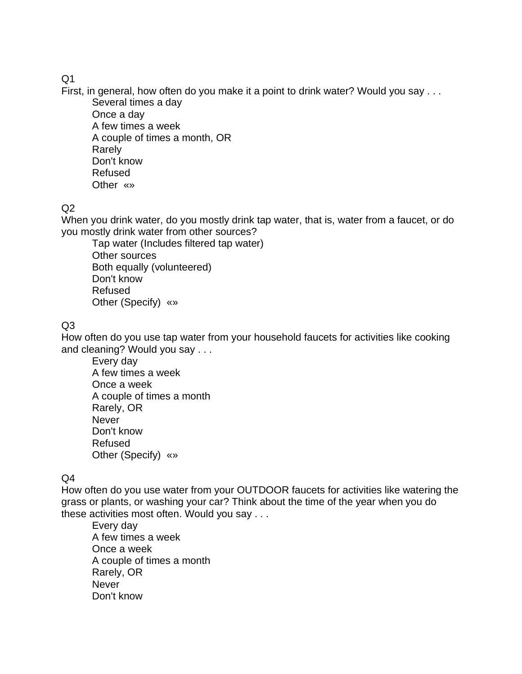# $O<sub>1</sub>$

First, in general, how often do you make it a point to drink water? Would you say . . .

Several times a day Once a day A few times a week A couple of times a month, OR Rarely Don't know Refused Other «»

# $Q<sub>2</sub>$

When you drink water, do you mostly drink tap water, that is, water from a faucet, or do you mostly drink water from other sources?

Tap water (Includes filtered tap water) Other sources Both equally (volunteered) Don't know Refused Other (Specify) «»

# $O<sub>3</sub>$

How often do you use tap water from your household faucets for activities like cooking and cleaning? Would you say . . .

Every day A few times a week Once a week A couple of times a month Rarely, OR Never Don't know Refused Other (Specify) «»

# Q4

How often do you use water from your OUTDOOR faucets for activities like watering the grass or plants, or washing your car? Think about the time of the year when you do these activities most often. Would you say . . .

Every day A few times a week Once a week A couple of times a month Rarely, OR **Never** Don't know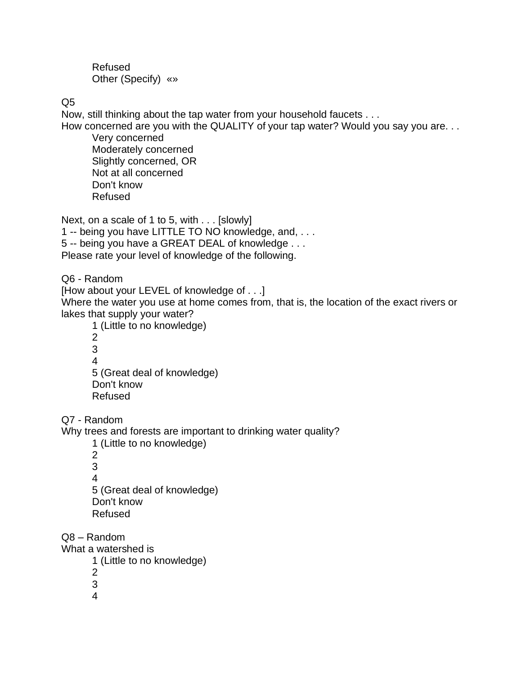Refused Other (Specify) «»

Q5

Now, still thinking about the tap water from your household faucets . . .

How concerned are you with the QUALITY of your tap water? Would you say you are. . .

Very concerned Moderately concerned Slightly concerned, OR Not at all concerned Don't know Refused

Next, on a scale of 1 to 5, with . . . [slowly] 1 -- being you have LITTLE TO NO knowledge, and, . . . 5 -- being you have a GREAT DEAL of knowledge . . . Please rate your level of knowledge of the following.

Q6 - Random

[How about your LEVEL of knowledge of . . .] Where the water you use at home comes from, that is, the location of the exact rivers or lakes that supply your water?

1 (Little to no knowledge) 2 3 4 5 (Great deal of knowledge) Don't know Refused

Q7 - Random

Why trees and forests are important to drinking water quality?

1 (Little to no knowledge)

2 3 4 5 (Great deal of knowledge) Don't know Refused

Q8 – Random

What a watershed is

- 1 (Little to no knowledge)
- 2

3

4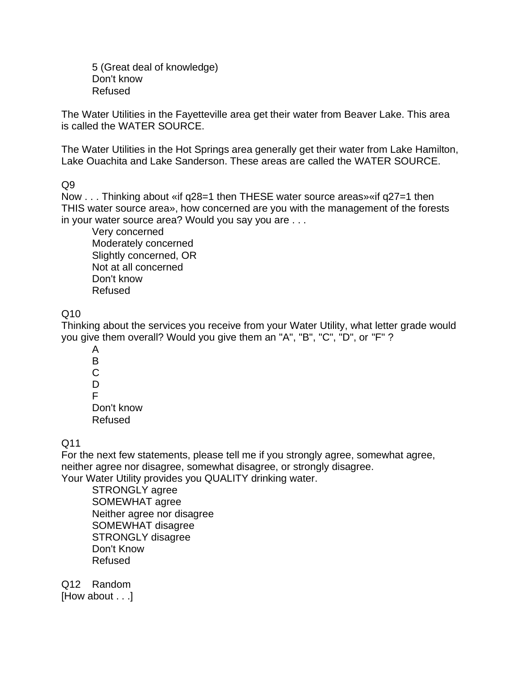5 (Great deal of knowledge) Don't know Refused

The Water Utilities in the Fayetteville area get their water from Beaver Lake. This area is called the WATER SOURCE.

The Water Utilities in the Hot Springs area generally get their water from Lake Hamilton, Lake Ouachita and Lake Sanderson. These areas are called the WATER SOURCE.

 $Q9$ 

Now . . . Thinking about «if q28=1 then THESE water source areas»«if q27=1 then THIS water source area», how concerned are you with the management of the forests in your water source area? Would you say you are . . .

Very concerned Moderately concerned Slightly concerned, OR Not at all concerned Don't know Refused

 $Q10$ 

Thinking about the services you receive from your Water Utility, what letter grade would you give them overall? Would you give them an "A", "B", "C", "D", or "F" ?

A B C D F Don't know Refused

Q11

For the next few statements, please tell me if you strongly agree, somewhat agree, neither agree nor disagree, somewhat disagree, or strongly disagree. Your Water Utility provides you QUALITY drinking water.

STRONGLY agree SOMEWHAT agree Neither agree nor disagree SOMEWHAT disagree STRONGLY disagree Don't Know Refused

Q12 Random [How about . . .]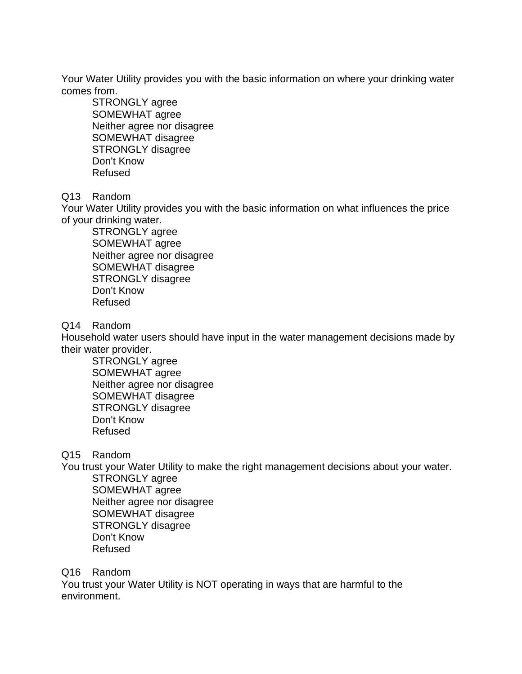Your Water Utility provides you with the basic information on where your drinking water comes from.

STRONGLY agree SOMEWHAT agree Neither agree nor disagree SOMEWHAT disagree STRONGLY disagree Don't Know Refused

# Q13 Random

Your Water Utility provides you with the basic information on what influences the price of your drinking water.

STRONGLY agree SOMEWHAT agree Neither agree nor disagree SOMEWHAT disagree STRONGLY disagree Don't Know Refused

Q14 Random

Household water users should have input in the water management decisions made by their water provider.

STRONGLY agree SOMEWHAT agree Neither agree nor disagree SOMEWHAT disagree STRONGLY disagree Don't Know Refused

Q15 Random

You trust your Water Utility to make the right management decisions about your water.

STRONGLY agree SOMEWHAT agree Neither agree nor disagree SOMEWHAT disagree STRONGLY disagree Don't Know Refused

# Q16 Random

You trust your Water Utility is NOT operating in ways that are harmful to the environment.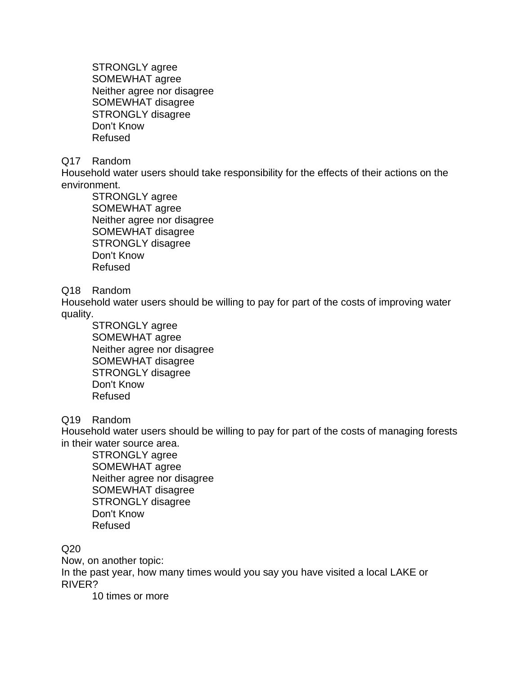STRONGLY agree SOMEWHAT agree Neither agree nor disagree SOMEWHAT disagree STRONGLY disagree Don't Know Refused

### Q17 Random

Household water users should take responsibility for the effects of their actions on the environment.

STRONGLY agree SOMEWHAT agree Neither agree nor disagree SOMEWHAT disagree STRONGLY disagree Don't Know Refused

### Q18 Random

Household water users should be willing to pay for part of the costs of improving water quality.

STRONGLY agree SOMEWHAT agree Neither agree nor disagree SOMEWHAT disagree STRONGLY disagree Don't Know Refused

# Q19 Random

Household water users should be willing to pay for part of the costs of managing forests in their water source area.

STRONGLY agree SOMEWHAT agree Neither agree nor disagree SOMEWHAT disagree STRONGLY disagree Don't Know Refused

Q20

Now, on another topic: In the past year, how many times would you say you have visited a local LAKE or RIVER?

10 times or more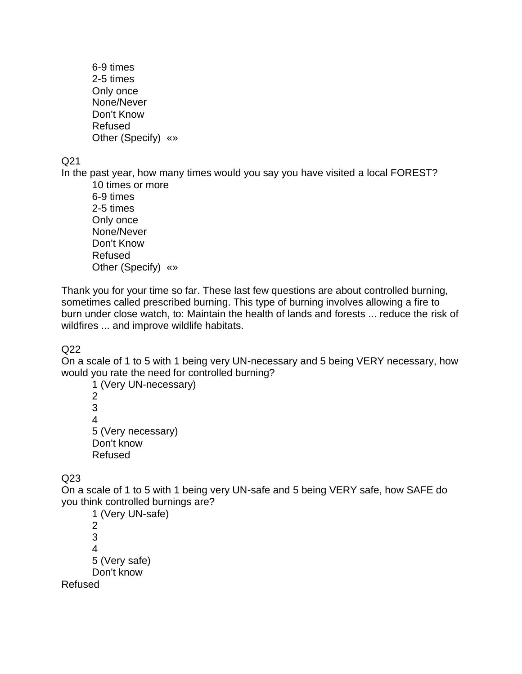6-9 times 2-5 times Only once None/Never Don't Know Refused Other (Specify) «»

Q21

In the past year, how many times would you say you have visited a local FOREST?

10 times or more 6-9 times 2-5 times Only once None/Never Don't Know Refused Other (Specify) «»

Thank you for your time so far. These last few questions are about controlled burning, sometimes called prescribed burning. This type of burning involves allowing a fire to burn under close watch, to: Maintain the health of lands and forests ... reduce the risk of wildfires ... and improve wildlife habitats.

Q22

On a scale of 1 to 5 with 1 being very UN-necessary and 5 being VERY necessary, how would you rate the need for controlled burning?

1 (Very UN-necessary) 2 3 4 5 (Very necessary) Don't know Refused

Q23

On a scale of 1 to 5 with 1 being very UN-safe and 5 being VERY safe, how SAFE do you think controlled burnings are?

1 (Very UN-safe) 2 3 4 5 (Very safe) Don't know Refused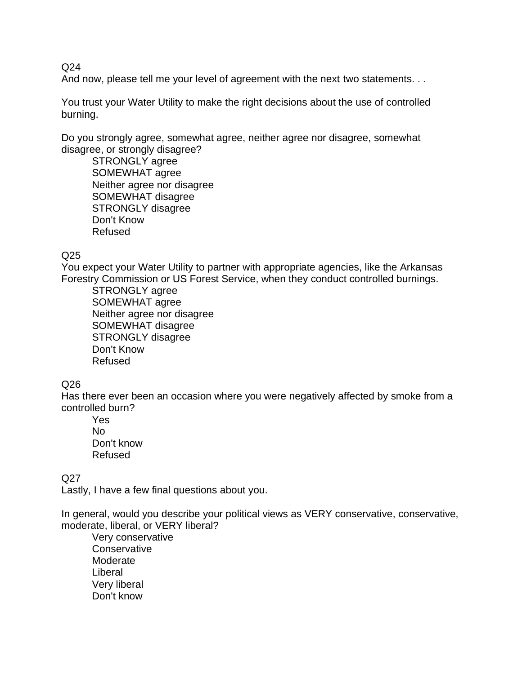$Q<sub>24</sub>$ 

And now, please tell me your level of agreement with the next two statements. . .

You trust your Water Utility to make the right decisions about the use of controlled burning.

Do you strongly agree, somewhat agree, neither agree nor disagree, somewhat disagree, or strongly disagree?

STRONGLY agree SOMEWHAT agree Neither agree nor disagree SOMEWHAT disagree STRONGLY disagree Don't Know Refused

# Q25

You expect your Water Utility to partner with appropriate agencies, like the Arkansas Forestry Commission or US Forest Service, when they conduct controlled burnings.

STRONGLY agree SOMEWHAT agree Neither agree nor disagree SOMEWHAT disagree STRONGLY disagree Don't Know Refused

# Q26

Has there ever been an occasion where you were negatively affected by smoke from a controlled burn?

Yes No Don't know Refused

# Q27

Lastly, I have a few final questions about you.

In general, would you describe your political views as VERY conservative, conservative, moderate, liberal, or VERY liberal?

Very conservative **Conservative** Moderate Liberal Very liberal Don't know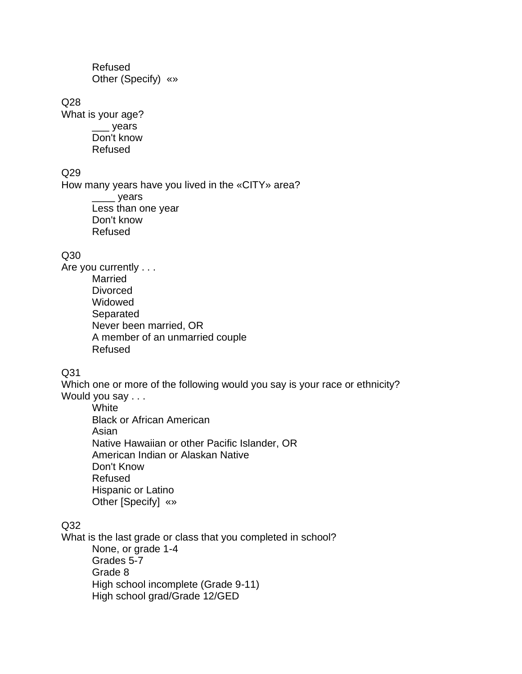Refused Other (Specify) «»

Q28

What is your age? \_\_\_ years Don't know Refused

### Q29

How many years have you lived in the «CITY» area? \_\_\_\_ years Less than one year Don't know Refused

### Q30

Are you currently . . . Married Divorced Widowed Separated Never been married, OR A member of an unmarried couple Refused

# Q31

Which one or more of the following would you say is your race or ethnicity? Would you say . . .

**White** Black or African American Asian Native Hawaiian or other Pacific Islander, OR American Indian or Alaskan Native Don't Know Refused Hispanic or Latino Other [Specify] «»

# Q32

What is the last grade or class that you completed in school? None, or grade 1-4 Grades 5-7 Grade 8 High school incomplete (Grade 9-11) High school grad/Grade 12/GED